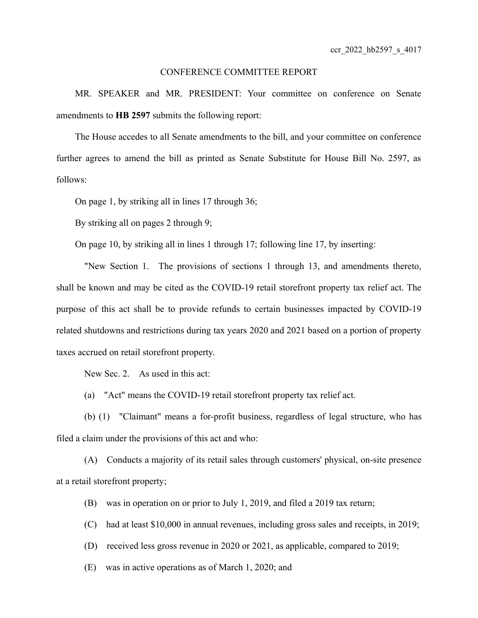## CONFERENCE COMMITTEE REPORT

MR. SPEAKER and MR. PRESIDENT: Your committee on conference on Senate amendments to **HB 2597** submits the following report:

The House accedes to all Senate amendments to the bill, and your committee on conference further agrees to amend the bill as printed as Senate Substitute for House Bill No. 2597, as follows:

On page 1, by striking all in lines 17 through 36;

By striking all on pages 2 through 9;

On page 10, by striking all in lines 1 through 17; following line 17, by inserting:

"New Section 1. The provisions of sections 1 through 13, and amendments thereto, shall be known and may be cited as the COVID-19 retail storefront property tax relief act. The purpose of this act shall be to provide refunds to certain businesses impacted by COVID-19 related shutdowns and restrictions during tax years 2020 and 2021 based on a portion of property taxes accrued on retail storefront property.

New Sec. 2. As used in this act:

(a) "Act" means the COVID-19 retail storefront property tax relief act.

(b) (1) "Claimant" means a for-profit business, regardless of legal structure, who has filed a claim under the provisions of this act and who:

(A) Conducts a majority of its retail sales through customers' physical, on-site presence at a retail storefront property;

(B) was in operation on or prior to July 1, 2019, and filed a 2019 tax return;

(C) had at least \$10,000 in annual revenues, including gross sales and receipts, in 2019;

(D) received less gross revenue in 2020 or 2021, as applicable, compared to 2019;

(E) was in active operations as of March 1, 2020; and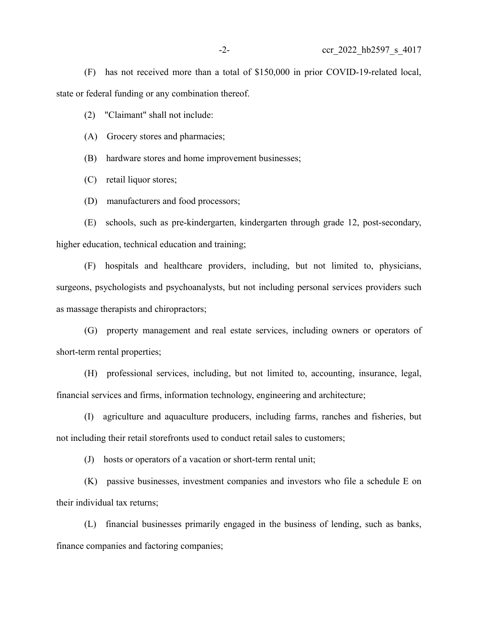(F) has not received more than a total of \$150,000 in prior COVID-19-related local, state or federal funding or any combination thereof.

(2) "Claimant" shall not include:

(A) Grocery stores and pharmacies;

(B) hardware stores and home improvement businesses;

(C) retail liquor stores;

(D) manufacturers and food processors;

(E) schools, such as pre-kindergarten, kindergarten through grade 12, post-secondary, higher education, technical education and training;

(F) hospitals and healthcare providers, including, but not limited to, physicians, surgeons, psychologists and psychoanalysts, but not including personal services providers such as massage therapists and chiropractors;

(G) property management and real estate services, including owners or operators of short-term rental properties;

(H) professional services, including, but not limited to, accounting, insurance, legal, financial services and firms, information technology, engineering and architecture;

(I) agriculture and aquaculture producers, including farms, ranches and fisheries, but not including their retail storefronts used to conduct retail sales to customers;

(J) hosts or operators of a vacation or short-term rental unit;

(K) passive businesses, investment companies and investors who file a schedule E on their individual tax returns;

(L) financial businesses primarily engaged in the business of lending, such as banks, finance companies and factoring companies;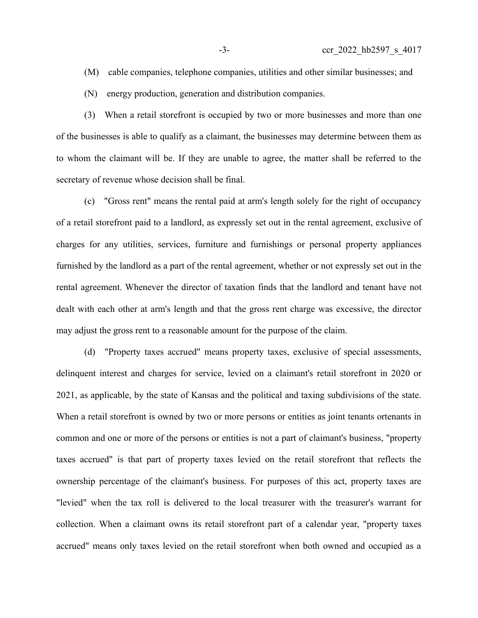- (M) cable companies, telephone companies, utilities and other similar businesses; and
- (N) energy production, generation and distribution companies.

(3) When a retail storefront is occupied by two or more businesses and more than one of the businesses is able to qualify as a claimant, the businesses may determine between them as to whom the claimant will be. If they are unable to agree, the matter shall be referred to the secretary of revenue whose decision shall be final.

(c) "Gross rent" means the rental paid at arm's length solely for the right of occupancy of a retail storefront paid to a landlord, as expressly set out in the rental agreement, exclusive of charges for any utilities, services, furniture and furnishings or personal property appliances furnished by the landlord as a part of the rental agreement, whether or not expressly set out in the rental agreement. Whenever the director of taxation finds that the landlord and tenant have not dealt with each other at arm's length and that the gross rent charge was excessive, the director may adjust the gross rent to a reasonable amount for the purpose of the claim.

(d) "Property taxes accrued" means property taxes, exclusive of special assessments, delinquent interest and charges for service, levied on a claimant's retail storefront in 2020 or 2021, as applicable, by the state of Kansas and the political and taxing subdivisions of the state. When a retail storefront is owned by two or more persons or entities as joint tenants ortenants in common and one or more of the persons or entities is not a part of claimant's business, "property taxes accrued" is that part of property taxes levied on the retail storefront that reflects the ownership percentage of the claimant's business. For purposes of this act, property taxes are "levied" when the tax roll is delivered to the local treasurer with the treasurer's warrant for collection. When a claimant owns its retail storefront part of a calendar year, "property taxes accrued" means only taxes levied on the retail storefront when both owned and occupied as a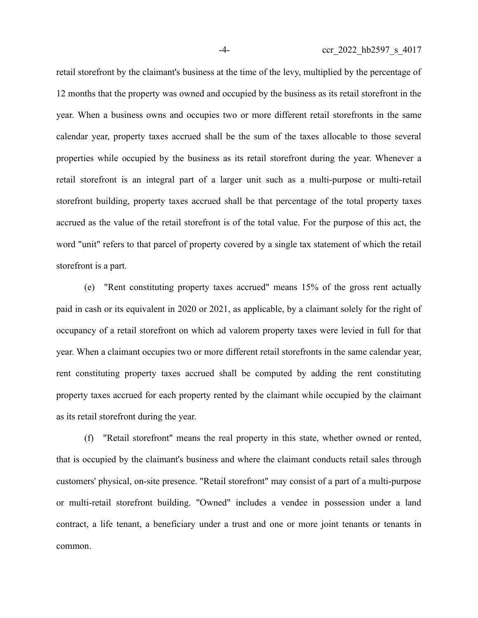retail storefront by the claimant's business at the time of the levy, multiplied by the percentage of 12 months that the property was owned and occupied by the business as its retail storefront in the year. When a business owns and occupies two or more different retail storefronts in the same calendar year, property taxes accrued shall be the sum of the taxes allocable to those several properties while occupied by the business as its retail storefront during the year. Whenever a retail storefront is an integral part of a larger unit such as a multi-purpose or multi-retail storefront building, property taxes accrued shall be that percentage of the total property taxes accrued as the value of the retail storefront is of the total value. For the purpose of this act, the word "unit" refers to that parcel of property covered by a single tax statement of which the retail storefront is a part.

(e) "Rent constituting property taxes accrued" means 15% of the gross rent actually paid in cash or its equivalent in 2020 or 2021, as applicable, by a claimant solely for the right of occupancy of a retail storefront on which ad valorem property taxes were levied in full for that year. When a claimant occupies two or more different retail storefronts in the same calendar year, rent constituting property taxes accrued shall be computed by adding the rent constituting property taxes accrued for each property rented by the claimant while occupied by the claimant as its retail storefront during the year.

(f) "Retail storefront" means the real property in this state, whether owned or rented, that is occupied by the claimant's business and where the claimant conducts retail sales through customers' physical, on-site presence. "Retail storefront" may consist of a part of a multi-purpose or multi-retail storefront building. "Owned" includes a vendee in possession under a land contract, a life tenant, a beneficiary under a trust and one or more joint tenants or tenants in common.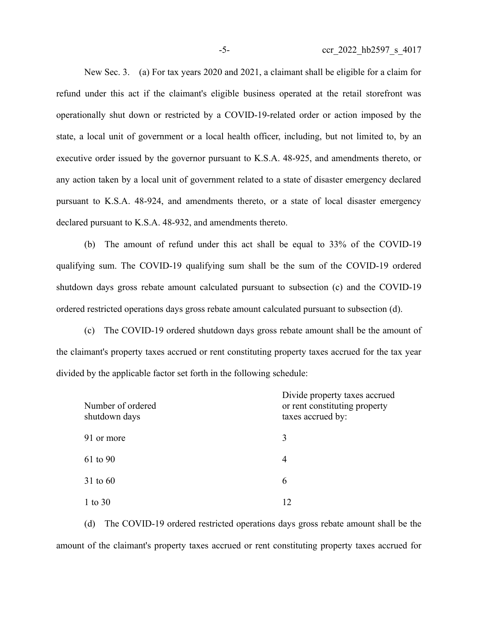New Sec. 3. (a) For tax years 2020 and 2021, a claimant shall be eligible for a claim for refund under this act if the claimant's eligible business operated at the retail storefront was operationally shut down or restricted by a COVID-19-related order or action imposed by the state, a local unit of government or a local health officer, including, but not limited to, by an executive order issued by the governor pursuant to K.S.A. 48-925, and amendments thereto, or any action taken by a local unit of government related to a state of disaster emergency declared pursuant to K.S.A. 48-924, and amendments thereto, or a state of local disaster emergency declared pursuant to K.S.A. 48-932, and amendments thereto.

(b) The amount of refund under this act shall be equal to 33% of the COVID-19 qualifying sum. The COVID-19 qualifying sum shall be the sum of the COVID-19 ordered shutdown days gross rebate amount calculated pursuant to subsection (c) and the COVID-19 ordered restricted operations days gross rebate amount calculated pursuant to subsection (d).

(c) The COVID-19 ordered shutdown days gross rebate amount shall be the amount of the claimant's property taxes accrued or rent constituting property taxes accrued for the tax year divided by the applicable factor set forth in the following schedule:

| Number of ordered<br>shutdown days | Divide property taxes accrued<br>or rent constituting property<br>taxes accrued by: |
|------------------------------------|-------------------------------------------------------------------------------------|
| 91 or more                         | 3                                                                                   |
| 61 to 90                           | 4                                                                                   |
| 31 to 60                           | 6                                                                                   |
| 1 to $30$                          | 12                                                                                  |

(d) The COVID-19 ordered restricted operations days gross rebate amount shall be the amount of the claimant's property taxes accrued or rent constituting property taxes accrued for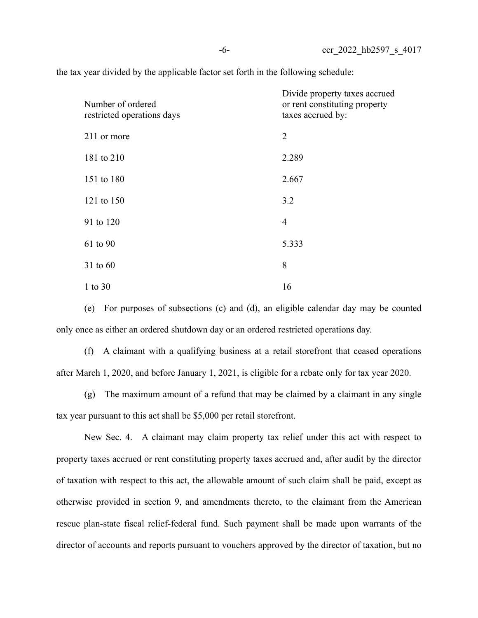the tax year divided by the applicable factor set forth in the following schedule:

| Number of ordered<br>restricted operations days | Divide property taxes accrued<br>or rent constituting property<br>taxes accrued by: |
|-------------------------------------------------|-------------------------------------------------------------------------------------|
| 211 or more                                     | $\overline{2}$                                                                      |
| 181 to 210                                      | 2.289                                                                               |
| 151 to 180                                      | 2.667                                                                               |
| 121 to 150                                      | 3.2                                                                                 |
| 91 to 120                                       | $\overline{4}$                                                                      |
| 61 to 90                                        | 5.333                                                                               |
| 31 to 60                                        | 8                                                                                   |
| $1$ to $30$                                     | 16                                                                                  |

(e) For purposes of subsections (c) and (d), an eligible calendar day may be counted only once as either an ordered shutdown day or an ordered restricted operations day.

(f) A claimant with a qualifying business at a retail storefront that ceased operations after March 1, 2020, and before January 1, 2021, is eligible for a rebate only for tax year 2020.

(g) The maximum amount of a refund that may be claimed by a claimant in any single tax year pursuant to this act shall be \$5,000 per retail storefront.

New Sec. 4. A claimant may claim property tax relief under this act with respect to property taxes accrued or rent constituting property taxes accrued and, after audit by the director of taxation with respect to this act, the allowable amount of such claim shall be paid, except as otherwise provided in section 9, and amendments thereto, to the claimant from the American rescue plan-state fiscal relief-federal fund. Such payment shall be made upon warrants of the director of accounts and reports pursuant to vouchers approved by the director of taxation, but no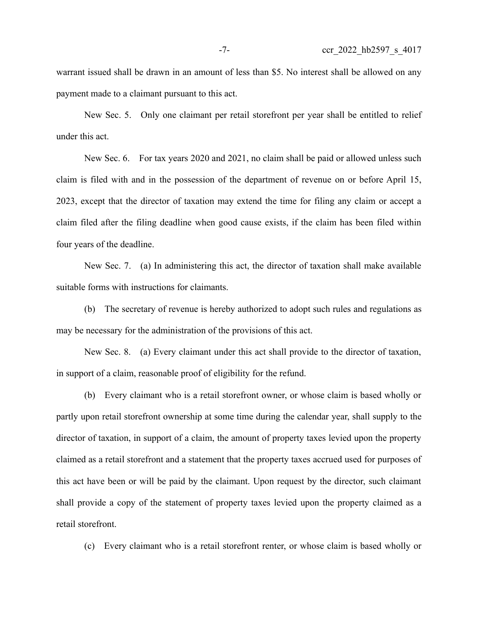warrant issued shall be drawn in an amount of less than \$5. No interest shall be allowed on any payment made to a claimant pursuant to this act.

New Sec. 5. Only one claimant per retail storefront per year shall be entitled to relief under this act.

New Sec. 6. For tax years 2020 and 2021, no claim shall be paid or allowed unless such claim is filed with and in the possession of the department of revenue on or before April 15, 2023, except that the director of taxation may extend the time for filing any claim or accept a claim filed after the filing deadline when good cause exists, if the claim has been filed within four years of the deadline.

New Sec. 7. (a) In administering this act, the director of taxation shall make available suitable forms with instructions for claimants.

(b) The secretary of revenue is hereby authorized to adopt such rules and regulations as may be necessary for the administration of the provisions of this act.

New Sec. 8. (a) Every claimant under this act shall provide to the director of taxation, in support of a claim, reasonable proof of eligibility for the refund.

(b) Every claimant who is a retail storefront owner, or whose claim is based wholly or partly upon retail storefront ownership at some time during the calendar year, shall supply to the director of taxation, in support of a claim, the amount of property taxes levied upon the property claimed as a retail storefront and a statement that the property taxes accrued used for purposes of this act have been or will be paid by the claimant. Upon request by the director, such claimant shall provide a copy of the statement of property taxes levied upon the property claimed as a retail storefront.

(c) Every claimant who is a retail storefront renter, or whose claim is based wholly or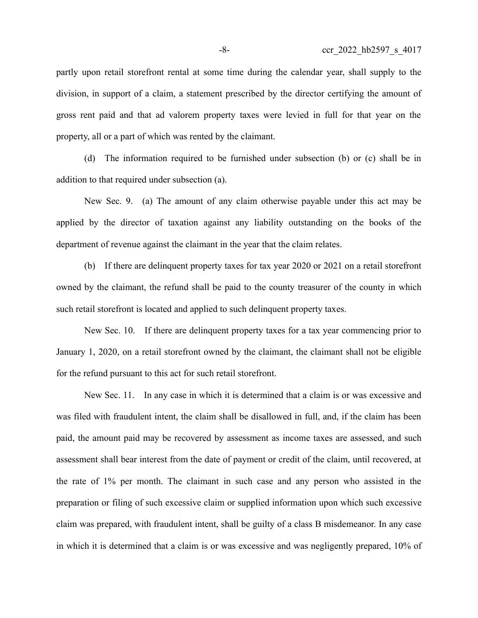partly upon retail storefront rental at some time during the calendar year, shall supply to the division, in support of a claim, a statement prescribed by the director certifying the amount of gross rent paid and that ad valorem property taxes were levied in full for that year on the property, all or a part of which was rented by the claimant.

(d) The information required to be furnished under subsection (b) or (c) shall be in addition to that required under subsection (a).

New Sec. 9. (a) The amount of any claim otherwise payable under this act may be applied by the director of taxation against any liability outstanding on the books of the department of revenue against the claimant in the year that the claim relates.

(b) If there are delinquent property taxes for tax year 2020 or 2021 on a retail storefront owned by the claimant, the refund shall be paid to the county treasurer of the county in which such retail storefront is located and applied to such delinquent property taxes.

New Sec. 10. If there are delinquent property taxes for a tax year commencing prior to January 1, 2020, on a retail storefront owned by the claimant, the claimant shall not be eligible for the refund pursuant to this act for such retail storefront.

New Sec. 11. In any case in which it is determined that a claim is or was excessive and was filed with fraudulent intent, the claim shall be disallowed in full, and, if the claim has been paid, the amount paid may be recovered by assessment as income taxes are assessed, and such assessment shall bear interest from the date of payment or credit of the claim, until recovered, at the rate of 1% per month. The claimant in such case and any person who assisted in the preparation or filing of such excessive claim or supplied information upon which such excessive claim was prepared, with fraudulent intent, shall be guilty of a class B misdemeanor. In any case in which it is determined that a claim is or was excessive and was negligently prepared, 10% of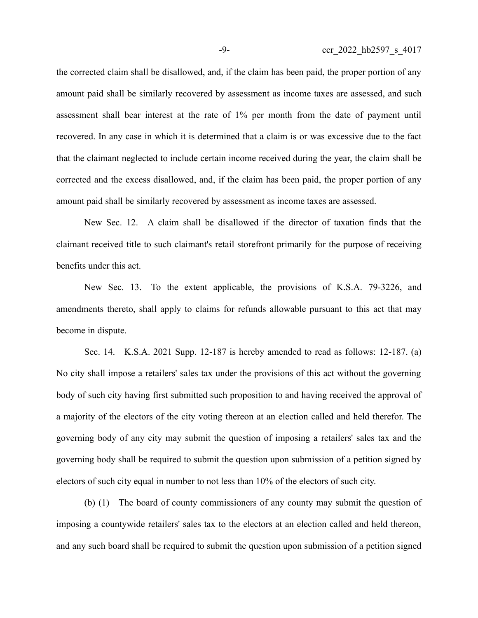the corrected claim shall be disallowed, and, if the claim has been paid, the proper portion of any amount paid shall be similarly recovered by assessment as income taxes are assessed, and such assessment shall bear interest at the rate of 1% per month from the date of payment until recovered. In any case in which it is determined that a claim is or was excessive due to the fact that the claimant neglected to include certain income received during the year, the claim shall be corrected and the excess disallowed, and, if the claim has been paid, the proper portion of any amount paid shall be similarly recovered by assessment as income taxes are assessed.

New Sec. 12. A claim shall be disallowed if the director of taxation finds that the claimant received title to such claimant's retail storefront primarily for the purpose of receiving benefits under this act.

New Sec. 13. To the extent applicable, the provisions of K.S.A. 79-3226, and amendments thereto, shall apply to claims for refunds allowable pursuant to this act that may become in dispute.

Sec. 14. K.S.A. 2021 Supp. 12-187 is hereby amended to read as follows: 12-187. (a) No city shall impose a retailers' sales tax under the provisions of this act without the governing body of such city having first submitted such proposition to and having received the approval of a majority of the electors of the city voting thereon at an election called and held therefor. The governing body of any city may submit the question of imposing a retailers' sales tax and the governing body shall be required to submit the question upon submission of a petition signed by electors of such city equal in number to not less than 10% of the electors of such city.

(b) (1) The board of county commissioners of any county may submit the question of imposing a countywide retailers' sales tax to the electors at an election called and held thereon, and any such board shall be required to submit the question upon submission of a petition signed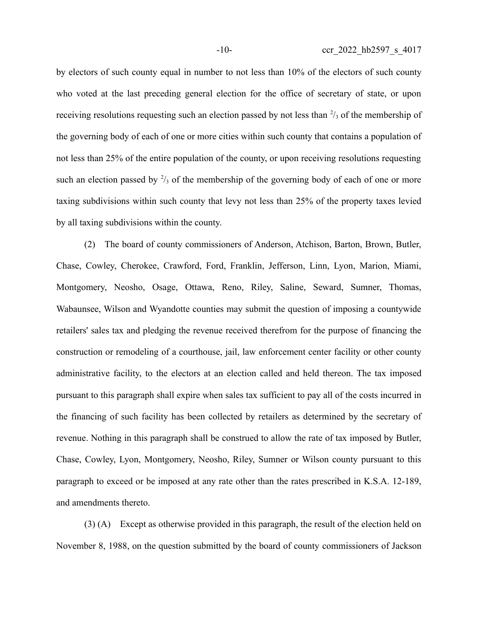by electors of such county equal in number to not less than 10% of the electors of such county who voted at the last preceding general election for the office of secretary of state, or upon receiving resolutions requesting such an election passed by not less than  $\frac{2}{3}$  of the membership of the governing body of each of one or more cities within such county that contains a population of not less than 25% of the entire population of the county, or upon receiving resolutions requesting such an election passed by  $\frac{2}{3}$  of the membership of the governing body of each of one or more taxing subdivisions within such county that levy not less than 25% of the property taxes levied by all taxing subdivisions within the county.

(2) The board of county commissioners of Anderson, Atchison, Barton, Brown, Butler, Chase, Cowley, Cherokee, Crawford, Ford, Franklin, Jefferson, Linn, Lyon, Marion, Miami, Montgomery, Neosho, Osage, Ottawa, Reno, Riley, Saline, Seward, Sumner, Thomas, Wabaunsee, Wilson and Wyandotte counties may submit the question of imposing a countywide retailers' sales tax and pledging the revenue received therefrom for the purpose of financing the construction or remodeling of a courthouse, jail, law enforcement center facility or other county administrative facility, to the electors at an election called and held thereon. The tax imposed pursuant to this paragraph shall expire when sales tax sufficient to pay all of the costs incurred in the financing of such facility has been collected by retailers as determined by the secretary of revenue. Nothing in this paragraph shall be construed to allow the rate of tax imposed by Butler, Chase, Cowley, Lyon, Montgomery, Neosho, Riley, Sumner or Wilson county pursuant to this paragraph to exceed or be imposed at any rate other than the rates prescribed in K.S.A. 12-189, and amendments thereto.

(3) (A) Except as otherwise provided in this paragraph, the result of the election held on November 8, 1988, on the question submitted by the board of county commissioners of Jackson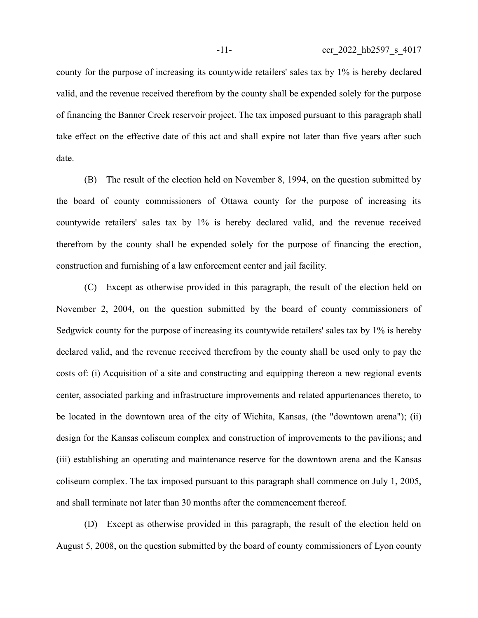county for the purpose of increasing its countywide retailers' sales tax by 1% is hereby declared valid, and the revenue received therefrom by the county shall be expended solely for the purpose of financing the Banner Creek reservoir project. The tax imposed pursuant to this paragraph shall take effect on the effective date of this act and shall expire not later than five years after such date.

(B) The result of the election held on November 8, 1994, on the question submitted by the board of county commissioners of Ottawa county for the purpose of increasing its countywide retailers' sales tax by 1% is hereby declared valid, and the revenue received therefrom by the county shall be expended solely for the purpose of financing the erection, construction and furnishing of a law enforcement center and jail facility.

(C) Except as otherwise provided in this paragraph, the result of the election held on November 2, 2004, on the question submitted by the board of county commissioners of Sedgwick county for the purpose of increasing its countywide retailers' sales tax by 1% is hereby declared valid, and the revenue received therefrom by the county shall be used only to pay the costs of: (i) Acquisition of a site and constructing and equipping thereon a new regional events center, associated parking and infrastructure improvements and related appurtenances thereto, to be located in the downtown area of the city of Wichita, Kansas, (the "downtown arena"); (ii) design for the Kansas coliseum complex and construction of improvements to the pavilions; and (iii) establishing an operating and maintenance reserve for the downtown arena and the Kansas coliseum complex. The tax imposed pursuant to this paragraph shall commence on July 1, 2005, and shall terminate not later than 30 months after the commencement thereof.

(D) Except as otherwise provided in this paragraph, the result of the election held on August 5, 2008, on the question submitted by the board of county commissioners of Lyon county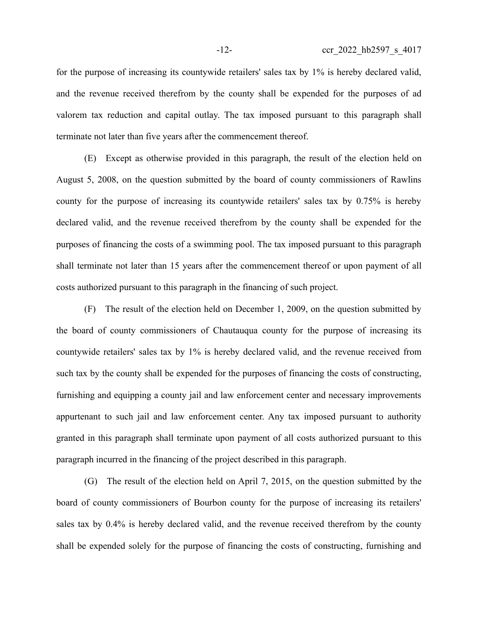for the purpose of increasing its countywide retailers' sales tax by 1% is hereby declared valid, and the revenue received therefrom by the county shall be expended for the purposes of ad valorem tax reduction and capital outlay. The tax imposed pursuant to this paragraph shall terminate not later than five years after the commencement thereof.

(E) Except as otherwise provided in this paragraph, the result of the election held on August 5, 2008, on the question submitted by the board of county commissioners of Rawlins county for the purpose of increasing its countywide retailers' sales tax by 0.75% is hereby declared valid, and the revenue received therefrom by the county shall be expended for the purposes of financing the costs of a swimming pool. The tax imposed pursuant to this paragraph shall terminate not later than 15 years after the commencement thereof or upon payment of all costs authorized pursuant to this paragraph in the financing of such project.

(F) The result of the election held on December 1, 2009, on the question submitted by the board of county commissioners of Chautauqua county for the purpose of increasing its countywide retailers' sales tax by 1% is hereby declared valid, and the revenue received from such tax by the county shall be expended for the purposes of financing the costs of constructing, furnishing and equipping a county jail and law enforcement center and necessary improvements appurtenant to such jail and law enforcement center. Any tax imposed pursuant to authority granted in this paragraph shall terminate upon payment of all costs authorized pursuant to this paragraph incurred in the financing of the project described in this paragraph.

(G) The result of the election held on April 7, 2015, on the question submitted by the board of county commissioners of Bourbon county for the purpose of increasing its retailers' sales tax by 0.4% is hereby declared valid, and the revenue received therefrom by the county shall be expended solely for the purpose of financing the costs of constructing, furnishing and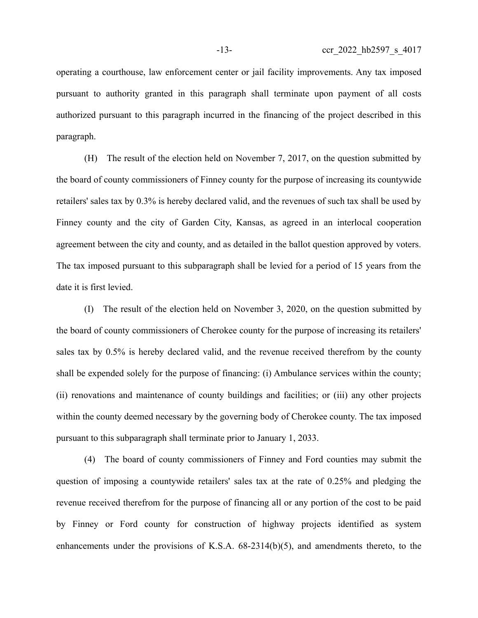operating a courthouse, law enforcement center or jail facility improvements. Any tax imposed pursuant to authority granted in this paragraph shall terminate upon payment of all costs authorized pursuant to this paragraph incurred in the financing of the project described in this paragraph.

(H) The result of the election held on November 7, 2017, on the question submitted by the board of county commissioners of Finney county for the purpose of increasing its countywide retailers' sales tax by 0.3% is hereby declared valid, and the revenues of such tax shall be used by Finney county and the city of Garden City, Kansas, as agreed in an interlocal cooperation agreement between the city and county, and as detailed in the ballot question approved by voters. The tax imposed pursuant to this subparagraph shall be levied for a period of 15 years from the date it is first levied.

(I) The result of the election held on November 3, 2020, on the question submitted by the board of county commissioners of Cherokee county for the purpose of increasing its retailers' sales tax by 0.5% is hereby declared valid, and the revenue received therefrom by the county shall be expended solely for the purpose of financing: (i) Ambulance services within the county; (ii) renovations and maintenance of county buildings and facilities; or (iii) any other projects within the county deemed necessary by the governing body of Cherokee county. The tax imposed pursuant to this subparagraph shall terminate prior to January 1, 2033.

(4) The board of county commissioners of Finney and Ford counties may submit the question of imposing a countywide retailers' sales tax at the rate of 0.25% and pledging the revenue received therefrom for the purpose of financing all or any portion of the cost to be paid by Finney or Ford county for construction of highway projects identified as system enhancements under the provisions of K.S.A. 68-2314(b)(5), and amendments thereto, to the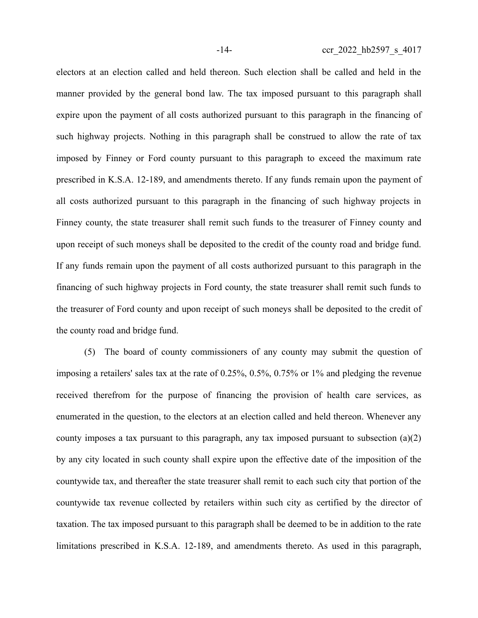electors at an election called and held thereon. Such election shall be called and held in the manner provided by the general bond law. The tax imposed pursuant to this paragraph shall expire upon the payment of all costs authorized pursuant to this paragraph in the financing of such highway projects. Nothing in this paragraph shall be construed to allow the rate of tax imposed by Finney or Ford county pursuant to this paragraph to exceed the maximum rate prescribed in K.S.A. 12-189, and amendments thereto. If any funds remain upon the payment of all costs authorized pursuant to this paragraph in the financing of such highway projects in Finney county, the state treasurer shall remit such funds to the treasurer of Finney county and upon receipt of such moneys shall be deposited to the credit of the county road and bridge fund. If any funds remain upon the payment of all costs authorized pursuant to this paragraph in the financing of such highway projects in Ford county, the state treasurer shall remit such funds to the treasurer of Ford county and upon receipt of such moneys shall be deposited to the credit of the county road and bridge fund.

(5) The board of county commissioners of any county may submit the question of imposing a retailers' sales tax at the rate of 0.25%, 0.5%, 0.75% or 1% and pledging the revenue received therefrom for the purpose of financing the provision of health care services, as enumerated in the question, to the electors at an election called and held thereon. Whenever any county imposes a tax pursuant to this paragraph, any tax imposed pursuant to subsection (a)(2) by any city located in such county shall expire upon the effective date of the imposition of the countywide tax, and thereafter the state treasurer shall remit to each such city that portion of the countywide tax revenue collected by retailers within such city as certified by the director of taxation. The tax imposed pursuant to this paragraph shall be deemed to be in addition to the rate limitations prescribed in K.S.A. 12-189, and amendments thereto. As used in this paragraph,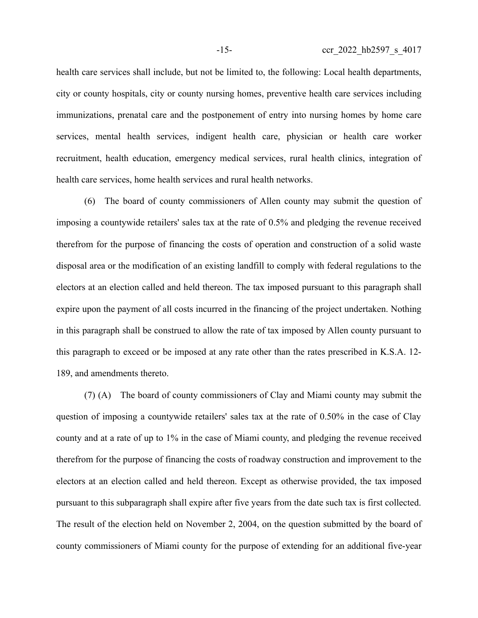health care services shall include, but not be limited to, the following: Local health departments, city or county hospitals, city or county nursing homes, preventive health care services including immunizations, prenatal care and the postponement of entry into nursing homes by home care services, mental health services, indigent health care, physician or health care worker recruitment, health education, emergency medical services, rural health clinics, integration of health care services, home health services and rural health networks.

(6) The board of county commissioners of Allen county may submit the question of imposing a countywide retailers' sales tax at the rate of 0.5% and pledging the revenue received therefrom for the purpose of financing the costs of operation and construction of a solid waste disposal area or the modification of an existing landfill to comply with federal regulations to the electors at an election called and held thereon. The tax imposed pursuant to this paragraph shall expire upon the payment of all costs incurred in the financing of the project undertaken. Nothing in this paragraph shall be construed to allow the rate of tax imposed by Allen county pursuant to this paragraph to exceed or be imposed at any rate other than the rates prescribed in K.S.A. 12- 189, and amendments thereto.

(7) (A) The board of county commissioners of Clay and Miami county may submit the question of imposing a countywide retailers' sales tax at the rate of 0.50% in the case of Clay county and at a rate of up to 1% in the case of Miami county, and pledging the revenue received therefrom for the purpose of financing the costs of roadway construction and improvement to the electors at an election called and held thereon. Except as otherwise provided, the tax imposed pursuant to this subparagraph shall expire after five years from the date such tax is first collected. The result of the election held on November 2, 2004, on the question submitted by the board of county commissioners of Miami county for the purpose of extending for an additional five-year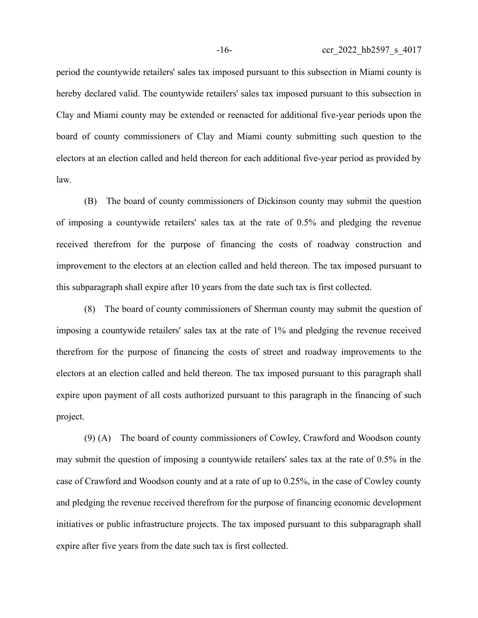period the countywide retailers' sales tax imposed pursuant to this subsection in Miami county is hereby declared valid. The countywide retailers' sales tax imposed pursuant to this subsection in Clay and Miami county may be extended or reenacted for additional five-year periods upon the board of county commissioners of Clay and Miami county submitting such question to the electors at an election called and held thereon for each additional five-year period as provided by law.

(B) The board of county commissioners of Dickinson county may submit the question of imposing a countywide retailers' sales tax at the rate of 0.5% and pledging the revenue received therefrom for the purpose of financing the costs of roadway construction and improvement to the electors at an election called and held thereon. The tax imposed pursuant to this subparagraph shall expire after 10 years from the date such tax is first collected.

(8) The board of county commissioners of Sherman county may submit the question of imposing a countywide retailers' sales tax at the rate of 1% and pledging the revenue received therefrom for the purpose of financing the costs of street and roadway improvements to the electors at an election called and held thereon. The tax imposed pursuant to this paragraph shall expire upon payment of all costs authorized pursuant to this paragraph in the financing of such project.

(9) (A) The board of county commissioners of Cowley, Crawford and Woodson county may submit the question of imposing a countywide retailers' sales tax at the rate of 0.5% in the case of Crawford and Woodson county and at a rate of up to 0.25%, in the case of Cowley county and pledging the revenue received therefrom for the purpose of financing economic development initiatives or public infrastructure projects. The tax imposed pursuant to this subparagraph shall expire after five years from the date such tax is first collected.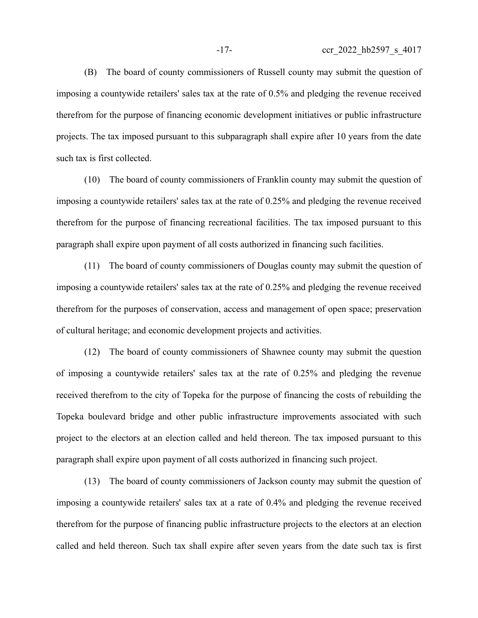(B) The board of county commissioners of Russell county may submit the question of imposing a countywide retailers' sales tax at the rate of 0.5% and pledging the revenue received therefrom for the purpose of financing economic development initiatives or public infrastructure projects. The tax imposed pursuant to this subparagraph shall expire after 10 years from the date such tax is first collected.

(10) The board of county commissioners of Franklin county may submit the question of imposing a countywide retailers' sales tax at the rate of 0.25% and pledging the revenue received therefrom for the purpose of financing recreational facilities. The tax imposed pursuant to this paragraph shall expire upon payment of all costs authorized in financing such facilities.

(11) The board of county commissioners of Douglas county may submit the question of imposing a countywide retailers' sales tax at the rate of 0.25% and pledging the revenue received therefrom for the purposes of conservation, access and management of open space; preservation of cultural heritage; and economic development projects and activities.

(12) The board of county commissioners of Shawnee county may submit the question of imposing a countywide retailers' sales tax at the rate of 0.25% and pledging the revenue received therefrom to the city of Topeka for the purpose of financing the costs of rebuilding the Topeka boulevard bridge and other public infrastructure improvements associated with such project to the electors at an election called and held thereon. The tax imposed pursuant to this paragraph shall expire upon payment of all costs authorized in financing such project.

(13) The board of county commissioners of Jackson county may submit the question of imposing a countywide retailers' sales tax at a rate of 0.4% and pledging the revenue received therefrom for the purpose of financing public infrastructure projects to the electors at an election called and held thereon. Such tax shall expire after seven years from the date such tax is first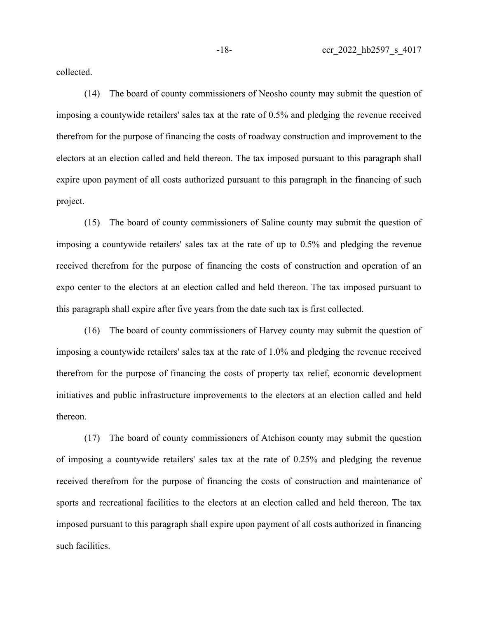collected.

(14) The board of county commissioners of Neosho county may submit the question of imposing a countywide retailers' sales tax at the rate of 0.5% and pledging the revenue received therefrom for the purpose of financing the costs of roadway construction and improvement to the electors at an election called and held thereon. The tax imposed pursuant to this paragraph shall expire upon payment of all costs authorized pursuant to this paragraph in the financing of such project.

(15) The board of county commissioners of Saline county may submit the question of imposing a countywide retailers' sales tax at the rate of up to 0.5% and pledging the revenue received therefrom for the purpose of financing the costs of construction and operation of an expo center to the electors at an election called and held thereon. The tax imposed pursuant to this paragraph shall expire after five years from the date such tax is first collected.

(16) The board of county commissioners of Harvey county may submit the question of imposing a countywide retailers' sales tax at the rate of 1.0% and pledging the revenue received therefrom for the purpose of financing the costs of property tax relief, economic development initiatives and public infrastructure improvements to the electors at an election called and held thereon.

(17) The board of county commissioners of Atchison county may submit the question of imposing a countywide retailers' sales tax at the rate of 0.25% and pledging the revenue received therefrom for the purpose of financing the costs of construction and maintenance of sports and recreational facilities to the electors at an election called and held thereon. The tax imposed pursuant to this paragraph shall expire upon payment of all costs authorized in financing such facilities.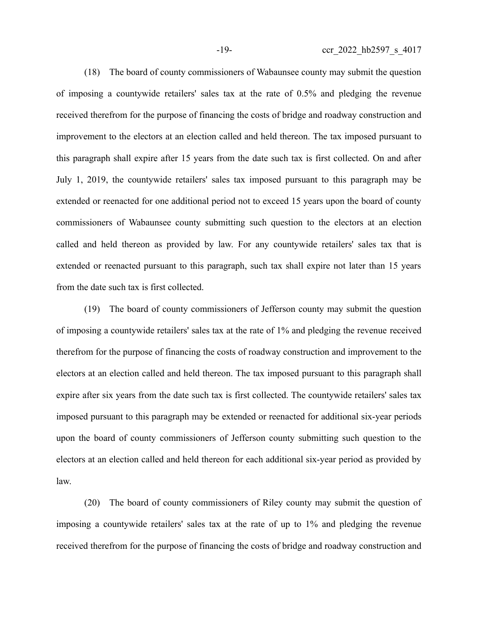(18) The board of county commissioners of Wabaunsee county may submit the question of imposing a countywide retailers' sales tax at the rate of 0.5% and pledging the revenue received therefrom for the purpose of financing the costs of bridge and roadway construction and improvement to the electors at an election called and held thereon. The tax imposed pursuant to this paragraph shall expire after 15 years from the date such tax is first collected. On and after July 1, 2019, the countywide retailers' sales tax imposed pursuant to this paragraph may be extended or reenacted for one additional period not to exceed 15 years upon the board of county commissioners of Wabaunsee county submitting such question to the electors at an election called and held thereon as provided by law. For any countywide retailers' sales tax that is extended or reenacted pursuant to this paragraph, such tax shall expire not later than 15 years from the date such tax is first collected.

(19) The board of county commissioners of Jefferson county may submit the question of imposing a countywide retailers' sales tax at the rate of 1% and pledging the revenue received therefrom for the purpose of financing the costs of roadway construction and improvement to the electors at an election called and held thereon. The tax imposed pursuant to this paragraph shall expire after six years from the date such tax is first collected. The countywide retailers' sales tax imposed pursuant to this paragraph may be extended or reenacted for additional six-year periods upon the board of county commissioners of Jefferson county submitting such question to the electors at an election called and held thereon for each additional six-year period as provided by law.

(20) The board of county commissioners of Riley county may submit the question of imposing a countywide retailers' sales tax at the rate of up to 1% and pledging the revenue received therefrom for the purpose of financing the costs of bridge and roadway construction and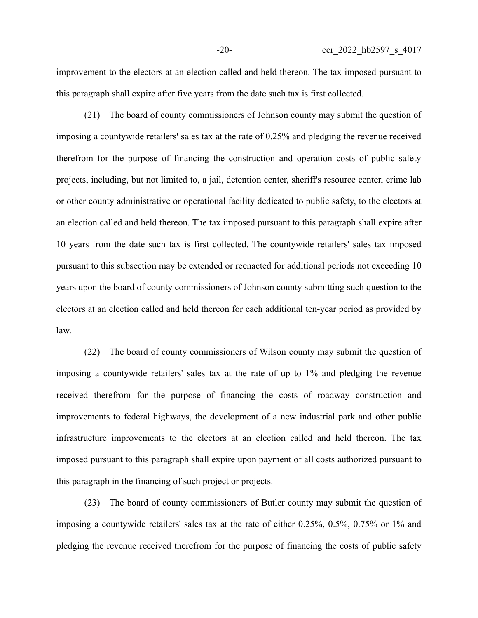improvement to the electors at an election called and held thereon. The tax imposed pursuant to this paragraph shall expire after five years from the date such tax is first collected.

(21) The board of county commissioners of Johnson county may submit the question of imposing a countywide retailers' sales tax at the rate of 0.25% and pledging the revenue received therefrom for the purpose of financing the construction and operation costs of public safety projects, including, but not limited to, a jail, detention center, sheriff's resource center, crime lab or other county administrative or operational facility dedicated to public safety, to the electors at an election called and held thereon. The tax imposed pursuant to this paragraph shall expire after 10 years from the date such tax is first collected. The countywide retailers' sales tax imposed pursuant to this subsection may be extended or reenacted for additional periods not exceeding 10 years upon the board of county commissioners of Johnson county submitting such question to the electors at an election called and held thereon for each additional ten-year period as provided by law.

(22) The board of county commissioners of Wilson county may submit the question of imposing a countywide retailers' sales tax at the rate of up to 1% and pledging the revenue received therefrom for the purpose of financing the costs of roadway construction and improvements to federal highways, the development of a new industrial park and other public infrastructure improvements to the electors at an election called and held thereon. The tax imposed pursuant to this paragraph shall expire upon payment of all costs authorized pursuant to this paragraph in the financing of such project or projects.

(23) The board of county commissioners of Butler county may submit the question of imposing a countywide retailers' sales tax at the rate of either 0.25%, 0.5%, 0.75% or 1% and pledging the revenue received therefrom for the purpose of financing the costs of public safety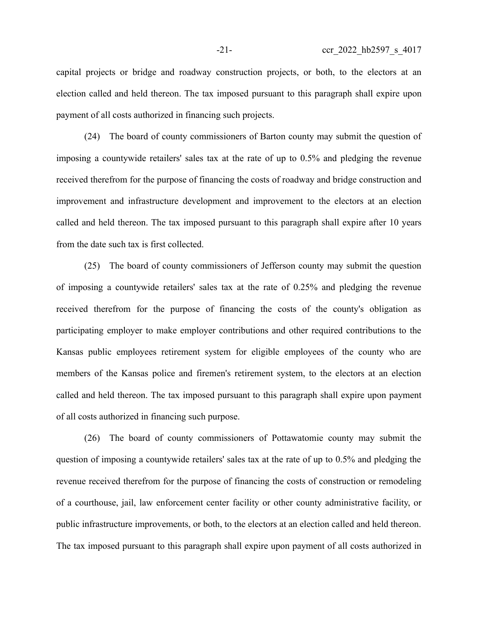capital projects or bridge and roadway construction projects, or both, to the electors at an election called and held thereon. The tax imposed pursuant to this paragraph shall expire upon payment of all costs authorized in financing such projects.

(24) The board of county commissioners of Barton county may submit the question of imposing a countywide retailers' sales tax at the rate of up to 0.5% and pledging the revenue received therefrom for the purpose of financing the costs of roadway and bridge construction and improvement and infrastructure development and improvement to the electors at an election called and held thereon. The tax imposed pursuant to this paragraph shall expire after 10 years from the date such tax is first collected.

(25) The board of county commissioners of Jefferson county may submit the question of imposing a countywide retailers' sales tax at the rate of 0.25% and pledging the revenue received therefrom for the purpose of financing the costs of the county's obligation as participating employer to make employer contributions and other required contributions to the Kansas public employees retirement system for eligible employees of the county who are members of the Kansas police and firemen's retirement system, to the electors at an election called and held thereon. The tax imposed pursuant to this paragraph shall expire upon payment of all costs authorized in financing such purpose.

(26) The board of county commissioners of Pottawatomie county may submit the question of imposing a countywide retailers' sales tax at the rate of up to 0.5% and pledging the revenue received therefrom for the purpose of financing the costs of construction or remodeling of a courthouse, jail, law enforcement center facility or other county administrative facility, or public infrastructure improvements, or both, to the electors at an election called and held thereon. The tax imposed pursuant to this paragraph shall expire upon payment of all costs authorized in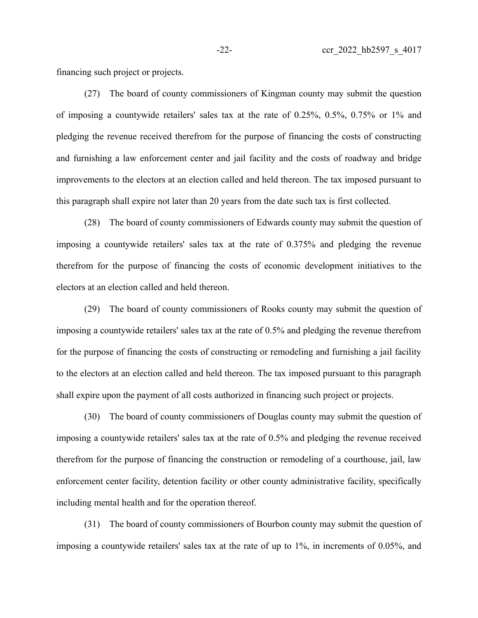financing such project or projects.

(27) The board of county commissioners of Kingman county may submit the question of imposing a countywide retailers' sales tax at the rate of 0.25%, 0.5%, 0.75% or 1% and pledging the revenue received therefrom for the purpose of financing the costs of constructing and furnishing a law enforcement center and jail facility and the costs of roadway and bridge improvements to the electors at an election called and held thereon. The tax imposed pursuant to this paragraph shall expire not later than 20 years from the date such tax is first collected.

(28) The board of county commissioners of Edwards county may submit the question of imposing a countywide retailers' sales tax at the rate of 0.375% and pledging the revenue therefrom for the purpose of financing the costs of economic development initiatives to the electors at an election called and held thereon.

(29) The board of county commissioners of Rooks county may submit the question of imposing a countywide retailers' sales tax at the rate of 0.5% and pledging the revenue therefrom for the purpose of financing the costs of constructing or remodeling and furnishing a jail facility to the electors at an election called and held thereon. The tax imposed pursuant to this paragraph shall expire upon the payment of all costs authorized in financing such project or projects.

(30) The board of county commissioners of Douglas county may submit the question of imposing a countywide retailers' sales tax at the rate of 0.5% and pledging the revenue received therefrom for the purpose of financing the construction or remodeling of a courthouse, jail, law enforcement center facility, detention facility or other county administrative facility, specifically including mental health and for the operation thereof.

(31) The board of county commissioners of Bourbon county may submit the question of imposing a countywide retailers' sales tax at the rate of up to 1%, in increments of 0.05%, and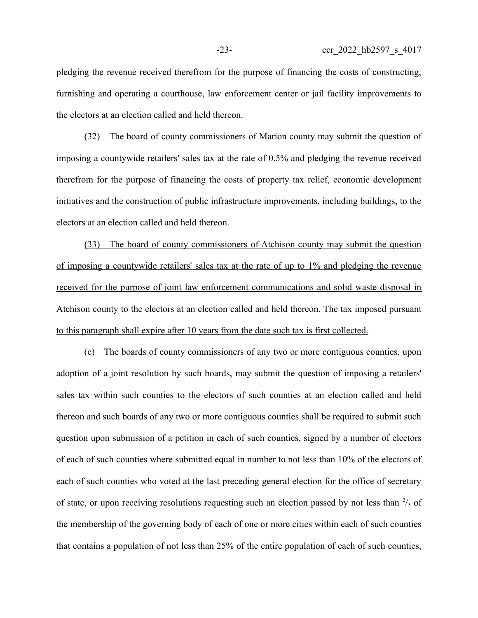pledging the revenue received therefrom for the purpose of financing the costs of constructing, furnishing and operating a courthouse, law enforcement center or jail facility improvements to the electors at an election called and held thereon.

(32) The board of county commissioners of Marion county may submit the question of imposing a countywide retailers' sales tax at the rate of 0.5% and pledging the revenue received therefrom for the purpose of financing the costs of property tax relief, economic development initiatives and the construction of public infrastructure improvements, including buildings, to the electors at an election called and held thereon.

(33) The board of county commissioners of Atchison county may submit the question of imposing a countywide retailers' sales tax at the rate of up to 1% and pledging the revenue received for the purpose of joint law enforcement communications and solid waste disposal in Atchison county to the electors at an election called and held thereon. The tax imposed pursuant to this paragraph shall expire after 10 years from the date such tax is first collected.

(c) The boards of county commissioners of any two or more contiguous counties, upon adoption of a joint resolution by such boards, may submit the question of imposing a retailers' sales tax within such counties to the electors of such counties at an election called and held thereon and such boards of any two or more contiguous counties shall be required to submit such question upon submission of a petition in each of such counties, signed by a number of electors of each of such counties where submitted equal in number to not less than 10% of the electors of each of such counties who voted at the last preceding general election for the office of secretary of state, or upon receiving resolutions requesting such an election passed by not less than  $\frac{2}{3}$  of the membership of the governing body of each of one or more cities within each of such counties that contains a population of not less than 25% of the entire population of each of such counties,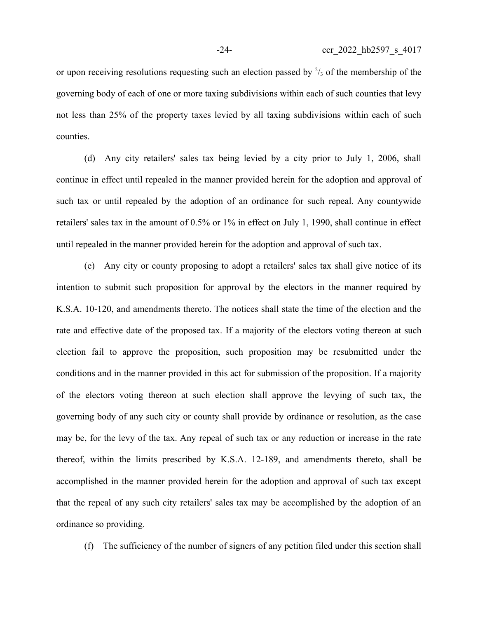or upon receiving resolutions requesting such an election passed by  $\frac{2}{3}$  of the membership of the governing body of each of one or more taxing subdivisions within each of such counties that levy not less than 25% of the property taxes levied by all taxing subdivisions within each of such counties.

(d) Any city retailers' sales tax being levied by a city prior to July 1, 2006, shall continue in effect until repealed in the manner provided herein for the adoption and approval of such tax or until repealed by the adoption of an ordinance for such repeal. Any countywide retailers' sales tax in the amount of 0.5% or 1% in effect on July 1, 1990, shall continue in effect until repealed in the manner provided herein for the adoption and approval of such tax.

(e) Any city or county proposing to adopt a retailers' sales tax shall give notice of its intention to submit such proposition for approval by the electors in the manner required by K.S.A. 10-120, and amendments thereto. The notices shall state the time of the election and the rate and effective date of the proposed tax. If a majority of the electors voting thereon at such election fail to approve the proposition, such proposition may be resubmitted under the conditions and in the manner provided in this act for submission of the proposition. If a majority of the electors voting thereon at such election shall approve the levying of such tax, the governing body of any such city or county shall provide by ordinance or resolution, as the case may be, for the levy of the tax. Any repeal of such tax or any reduction or increase in the rate thereof, within the limits prescribed by K.S.A. 12-189, and amendments thereto, shall be accomplished in the manner provided herein for the adoption and approval of such tax except that the repeal of any such city retailers' sales tax may be accomplished by the adoption of an ordinance so providing.

(f) The sufficiency of the number of signers of any petition filed under this section shall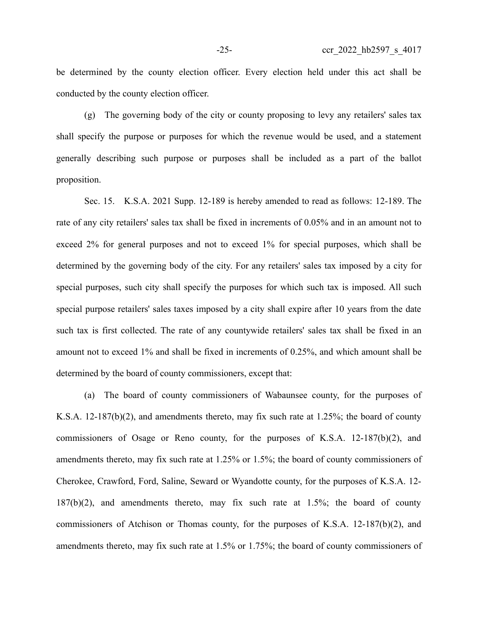be determined by the county election officer. Every election held under this act shall be conducted by the county election officer.

(g) The governing body of the city or county proposing to levy any retailers' sales tax shall specify the purpose or purposes for which the revenue would be used, and a statement generally describing such purpose or purposes shall be included as a part of the ballot proposition.

Sec. 15. K.S.A. 2021 Supp. 12-189 is hereby amended to read as follows: 12-189. The rate of any city retailers' sales tax shall be fixed in increments of 0.05% and in an amount not to exceed 2% for general purposes and not to exceed 1% for special purposes, which shall be determined by the governing body of the city. For any retailers' sales tax imposed by a city for special purposes, such city shall specify the purposes for which such tax is imposed. All such special purpose retailers' sales taxes imposed by a city shall expire after 10 years from the date such tax is first collected. The rate of any countywide retailers' sales tax shall be fixed in an amount not to exceed 1% and shall be fixed in increments of 0.25%, and which amount shall be determined by the board of county commissioners, except that:

(a) The board of county commissioners of Wabaunsee county, for the purposes of K.S.A. 12-187(b)(2), and amendments thereto, may fix such rate at 1.25%; the board of county commissioners of Osage or Reno county, for the purposes of K.S.A. 12-187(b)(2), and amendments thereto, may fix such rate at 1.25% or 1.5%; the board of county commissioners of Cherokee, Crawford, Ford, Saline, Seward or Wyandotte county, for the purposes of K.S.A. 12- 187(b)(2), and amendments thereto, may fix such rate at 1.5%; the board of county commissioners of Atchison or Thomas county, for the purposes of K.S.A. 12-187(b)(2), and amendments thereto, may fix such rate at 1.5% or 1.75%; the board of county commissioners of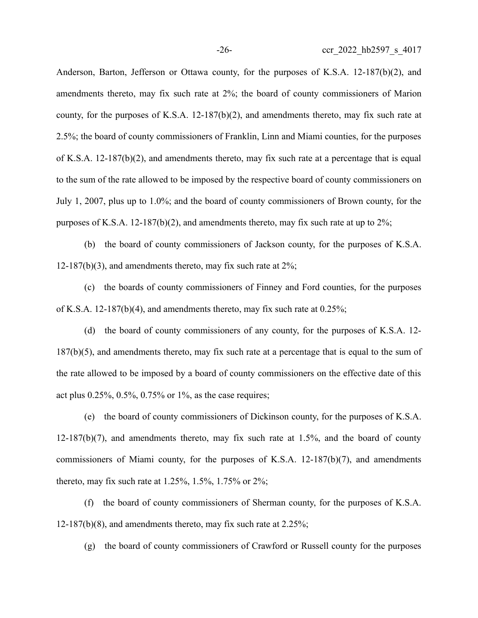Anderson, Barton, Jefferson or Ottawa county, for the purposes of K.S.A. 12-187(b)(2), and amendments thereto, may fix such rate at 2%; the board of county commissioners of Marion county, for the purposes of K.S.A.  $12-187(b)(2)$ , and amendments thereto, may fix such rate at 2.5%; the board of county commissioners of Franklin, Linn and Miami counties, for the purposes of K.S.A. 12-187(b)(2), and amendments thereto, may fix such rate at a percentage that is equal to the sum of the rate allowed to be imposed by the respective board of county commissioners on July 1, 2007, plus up to 1.0%; and the board of county commissioners of Brown county, for the purposes of K.S.A. 12-187(b)(2), and amendments thereto, may fix such rate at up to  $2\%$ ;

(b) the board of county commissioners of Jackson county, for the purposes of K.S.A. 12-187(b)(3), and amendments thereto, may fix such rate at  $2\%$ ;

(c) the boards of county commissioners of Finney and Ford counties, for the purposes of K.S.A. 12-187(b)(4), and amendments thereto, may fix such rate at 0.25%;

(d) the board of county commissioners of any county, for the purposes of K.S.A. 12- 187(b)(5), and amendments thereto, may fix such rate at a percentage that is equal to the sum of the rate allowed to be imposed by a board of county commissioners on the effective date of this act plus 0.25%, 0.5%, 0.75% or 1%, as the case requires;

(e) the board of county commissioners of Dickinson county, for the purposes of K.S.A.  $12-187(b)(7)$ , and amendments thereto, may fix such rate at  $1.5\%$ , and the board of county commissioners of Miami county, for the purposes of K.S.A. 12-187(b)(7), and amendments thereto, may fix such rate at 1.25%, 1.5%, 1.75% or 2%;

(f) the board of county commissioners of Sherman county, for the purposes of K.S.A. 12-187(b)(8), and amendments thereto, may fix such rate at  $2.25\%$ ;

(g) the board of county commissioners of Crawford or Russell county for the purposes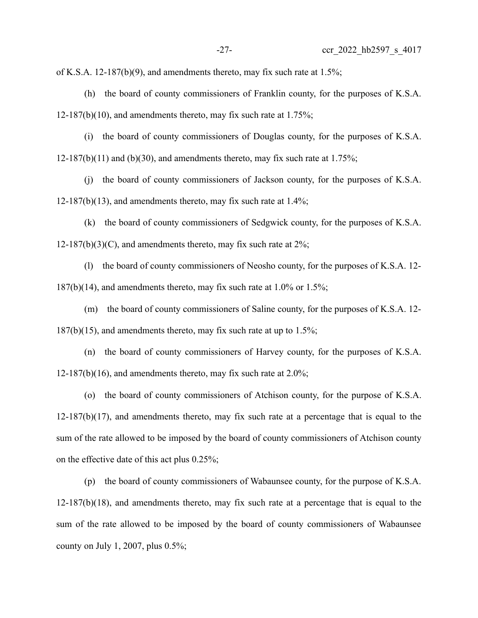of K.S.A. 12-187(b)(9), and amendments thereto, may fix such rate at  $1.5\%$ ;

(h) the board of county commissioners of Franklin county, for the purposes of K.S.A.  $12-187(b)(10)$ , and amendments thereto, may fix such rate at 1.75%;

(i) the board of county commissioners of Douglas county, for the purposes of K.S.A.  $12-187(b)(11)$  and (b)(30), and amendments thereto, may fix such rate at 1.75%;

(j) the board of county commissioners of Jackson county, for the purposes of K.S.A.  $12-187(b)(13)$ , and amendments thereto, may fix such rate at  $1.4\%$ ;

(k) the board of county commissioners of Sedgwick county, for the purposes of K.S.A.  $12-187(b)(3)(C)$ , and amendments thereto, may fix such rate at  $2\%$ ;

(l) the board of county commissioners of Neosho county, for the purposes of K.S.A. 12-  $187(b)(14)$ , and amendments thereto, may fix such rate at 1.0% or 1.5%;

(m) the board of county commissioners of Saline county, for the purposes of K.S.A. 12-  $187(b)(15)$ , and amendments thereto, may fix such rate at up to  $1.5\%$ ;

(n) the board of county commissioners of Harvey county, for the purposes of K.S.A.  $12-187(b)(16)$ , and amendments thereto, may fix such rate at  $2.0\%$ ;

(o) the board of county commissioners of Atchison county, for the purpose of K.S.A.  $12-187(b)(17)$ , and amendments thereto, may fix such rate at a percentage that is equal to the sum of the rate allowed to be imposed by the board of county commissioners of Atchison county on the effective date of this act plus 0.25%;

(p) the board of county commissioners of Wabaunsee county, for the purpose of K.S.A.  $12-187(b)(18)$ , and amendments thereto, may fix such rate at a percentage that is equal to the sum of the rate allowed to be imposed by the board of county commissioners of Wabaunsee county on July 1, 2007, plus 0.5%;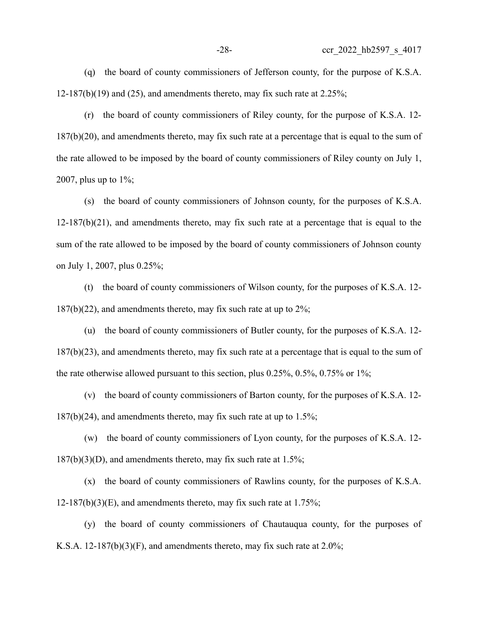(q) the board of county commissioners of Jefferson county, for the purpose of K.S.A.  $12-187(b)(19)$  and  $(25)$ , and amendments thereto, may fix such rate at  $2.25\%$ ;

(r) the board of county commissioners of Riley county, for the purpose of K.S.A. 12- 187(b)(20), and amendments thereto, may fix such rate at a percentage that is equal to the sum of the rate allowed to be imposed by the board of county commissioners of Riley county on July 1, 2007, plus up to  $1\%$ ;

(s) the board of county commissioners of Johnson county, for the purposes of K.S.A.  $12-187(b)(21)$ , and amendments thereto, may fix such rate at a percentage that is equal to the sum of the rate allowed to be imposed by the board of county commissioners of Johnson county on July 1, 2007, plus 0.25%;

(t) the board of county commissioners of Wilson county, for the purposes of K.S.A. 12-  $187(b)(22)$ , and amendments thereto, may fix such rate at up to  $2\%$ ;

(u) the board of county commissioners of Butler county, for the purposes of K.S.A. 12- 187(b)(23), and amendments thereto, may fix such rate at a percentage that is equal to the sum of the rate otherwise allowed pursuant to this section, plus 0.25%, 0.5%, 0.75% or 1%;

(v) the board of county commissioners of Barton county, for the purposes of K.S.A. 12-  $187(b)(24)$ , and amendments thereto, may fix such rate at up to  $1.5\%$ ;

(w) the board of county commissioners of Lyon county, for the purposes of K.S.A. 12-  $187(b)(3)(D)$ , and amendments thereto, may fix such rate at  $1.5\%$ ;

(x) the board of county commissioners of Rawlins county, for the purposes of K.S.A.  $12-187(b)(3)(E)$ , and amendments thereto, may fix such rate at  $1.75\%$ ;

(y) the board of county commissioners of Chautauqua county, for the purposes of K.S.A. 12-187(b)(3)(F), and amendments thereto, may fix such rate at  $2.0\%$ ;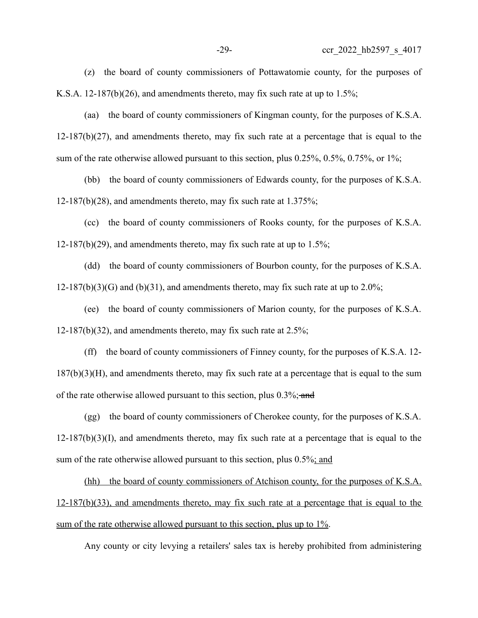(z) the board of county commissioners of Pottawatomie county, for the purposes of K.S.A. 12-187(b)(26), and amendments thereto, may fix such rate at up to 1.5%;

(aa) the board of county commissioners of Kingman county, for the purposes of K.S.A.  $12-187(b)(27)$ , and amendments thereto, may fix such rate at a percentage that is equal to the sum of the rate otherwise allowed pursuant to this section, plus 0.25%, 0.5%, 0.75%, or 1%;

(bb) the board of county commissioners of Edwards county, for the purposes of K.S.A.  $12-187(b)(28)$ , and amendments thereto, may fix such rate at 1.375%;

(cc) the board of county commissioners of Rooks county, for the purposes of K.S.A.  $12-187(b)(29)$ , and amendments thereto, may fix such rate at up to 1.5%;

(dd) the board of county commissioners of Bourbon county, for the purposes of K.S.A.  $12-187(b)(3)(G)$  and (b)(31), and amendments thereto, may fix such rate at up to 2.0%;

(ee) the board of county commissioners of Marion county, for the purposes of K.S.A. 12-187(b)(32), and amendments thereto, may fix such rate at  $2.5\%$ ;

(ff) the board of county commissioners of Finney county, for the purposes of K.S.A. 12- 187(b)(3)(H), and amendments thereto, may fix such rate at a percentage that is equal to the sum of the rate otherwise allowed pursuant to this section, plus 0.3%; and

(gg) the board of county commissioners of Cherokee county, for the purposes of K.S.A.  $12-187(b)(3)(I)$ , and amendments thereto, may fix such rate at a percentage that is equal to the sum of the rate otherwise allowed pursuant to this section, plus 0.5%; and

(hh) the board of county commissioners of Atchison county, for the purposes of K.S.A. 12-187(b)(33), and amendments thereto, may fix such rate at a percentage that is equal to the sum of the rate otherwise allowed pursuant to this section, plus up to 1%.

Any county or city levying a retailers' sales tax is hereby prohibited from administering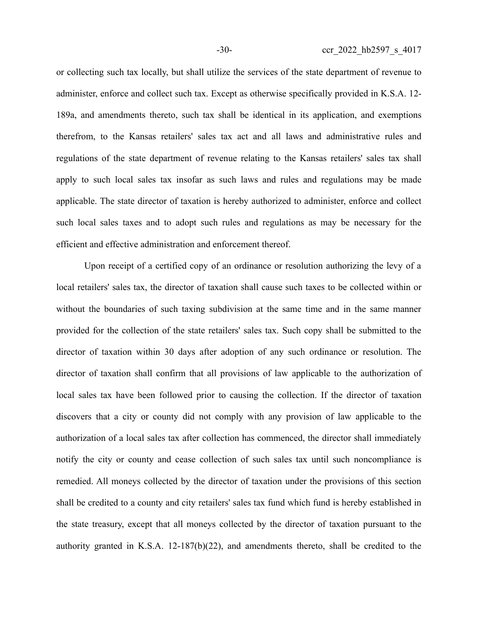or collecting such tax locally, but shall utilize the services of the state department of revenue to administer, enforce and collect such tax. Except as otherwise specifically provided in K.S.A. 12- 189a, and amendments thereto, such tax shall be identical in its application, and exemptions therefrom, to the Kansas retailers' sales tax act and all laws and administrative rules and regulations of the state department of revenue relating to the Kansas retailers' sales tax shall apply to such local sales tax insofar as such laws and rules and regulations may be made applicable. The state director of taxation is hereby authorized to administer, enforce and collect such local sales taxes and to adopt such rules and regulations as may be necessary for the efficient and effective administration and enforcement thereof.

Upon receipt of a certified copy of an ordinance or resolution authorizing the levy of a local retailers' sales tax, the director of taxation shall cause such taxes to be collected within or without the boundaries of such taxing subdivision at the same time and in the same manner provided for the collection of the state retailers' sales tax. Such copy shall be submitted to the director of taxation within 30 days after adoption of any such ordinance or resolution. The director of taxation shall confirm that all provisions of law applicable to the authorization of local sales tax have been followed prior to causing the collection. If the director of taxation discovers that a city or county did not comply with any provision of law applicable to the authorization of a local sales tax after collection has commenced, the director shall immediately notify the city or county and cease collection of such sales tax until such noncompliance is remedied. All moneys collected by the director of taxation under the provisions of this section shall be credited to a county and city retailers' sales tax fund which fund is hereby established in the state treasury, except that all moneys collected by the director of taxation pursuant to the authority granted in K.S.A. 12-187(b)(22), and amendments thereto, shall be credited to the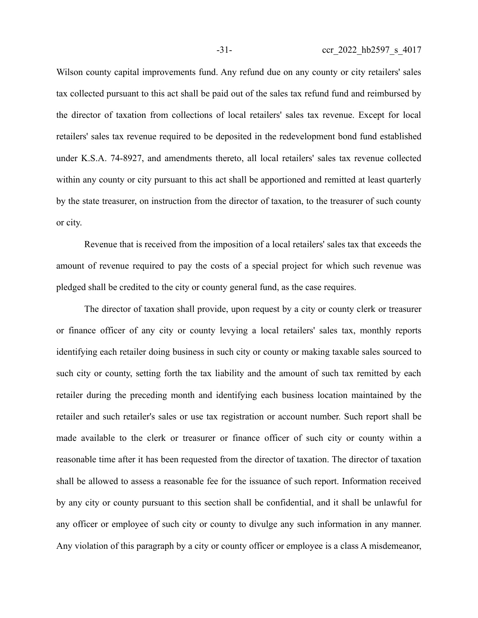Wilson county capital improvements fund. Any refund due on any county or city retailers' sales tax collected pursuant to this act shall be paid out of the sales tax refund fund and reimbursed by the director of taxation from collections of local retailers' sales tax revenue. Except for local retailers' sales tax revenue required to be deposited in the redevelopment bond fund established under K.S.A. 74-8927, and amendments thereto, all local retailers' sales tax revenue collected within any county or city pursuant to this act shall be apportioned and remitted at least quarterly by the state treasurer, on instruction from the director of taxation, to the treasurer of such county or city.

Revenue that is received from the imposition of a local retailers' sales tax that exceeds the amount of revenue required to pay the costs of a special project for which such revenue was pledged shall be credited to the city or county general fund, as the case requires.

The director of taxation shall provide, upon request by a city or county clerk or treasurer or finance officer of any city or county levying a local retailers' sales tax, monthly reports identifying each retailer doing business in such city or county or making taxable sales sourced to such city or county, setting forth the tax liability and the amount of such tax remitted by each retailer during the preceding month and identifying each business location maintained by the retailer and such retailer's sales or use tax registration or account number. Such report shall be made available to the clerk or treasurer or finance officer of such city or county within a reasonable time after it has been requested from the director of taxation. The director of taxation shall be allowed to assess a reasonable fee for the issuance of such report. Information received by any city or county pursuant to this section shall be confidential, and it shall be unlawful for any officer or employee of such city or county to divulge any such information in any manner. Any violation of this paragraph by a city or county officer or employee is a class A misdemeanor,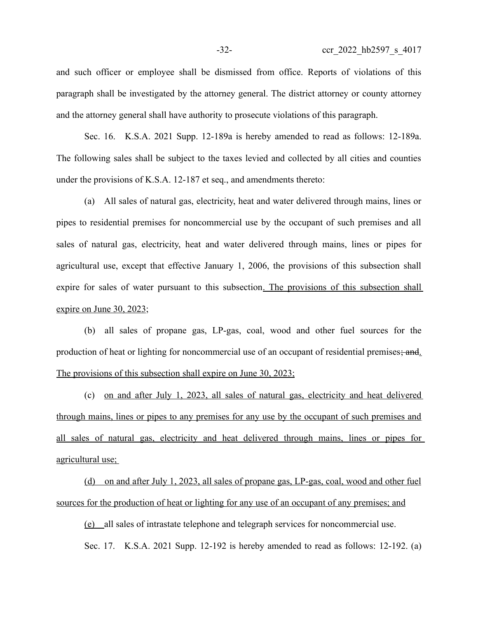and such officer or employee shall be dismissed from office. Reports of violations of this paragraph shall be investigated by the attorney general. The district attorney or county attorney and the attorney general shall have authority to prosecute violations of this paragraph.

Sec. 16. K.S.A. 2021 Supp. 12-189a is hereby amended to read as follows: 12-189a. The following sales shall be subject to the taxes levied and collected by all cities and counties under the provisions of K.S.A. 12-187 et seq., and amendments thereto:

(a) All sales of natural gas, electricity, heat and water delivered through mains, lines or pipes to residential premises for noncommercial use by the occupant of such premises and all sales of natural gas, electricity, heat and water delivered through mains, lines or pipes for agricultural use, except that effective January 1, 2006, the provisions of this subsection shall expire for sales of water pursuant to this subsection. The provisions of this subsection shall expire on June 30, 2023;

(b) all sales of propane gas, LP-gas, coal, wood and other fuel sources for the production of heat or lighting for noncommercial use of an occupant of residential premises; and. The provisions of this subsection shall expire on June 30, 2023;

(c) on and after July 1, 2023, all sales of natural gas, electricity and heat delivered through mains, lines or pipes to any premises for any use by the occupant of such premises and all sales of natural gas, electricity and heat delivered through mains, lines or pipes for agricultural use;

(d) on and after July 1, 2023, all sales of propane gas, LP-gas, coal, wood and other fuel sources for the production of heat or lighting for any use of an occupant of any premises; and

(e) all sales of intrastate telephone and telegraph services for noncommercial use.

Sec. 17. K.S.A. 2021 Supp. 12-192 is hereby amended to read as follows: 12-192. (a)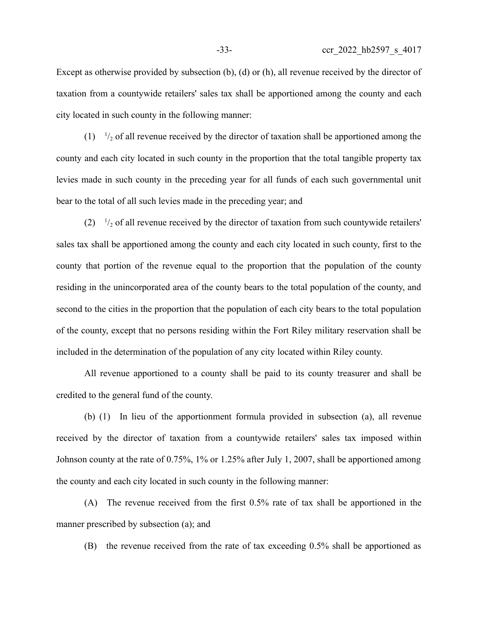Except as otherwise provided by subsection (b), (d) or (h), all revenue received by the director of taxation from a countywide retailers' sales tax shall be apportioned among the county and each city located in such county in the following manner:

 $(1)$   $\frac{1}{2}$  of all revenue received by the director of taxation shall be apportioned among the county and each city located in such county in the proportion that the total tangible property tax levies made in such county in the preceding year for all funds of each such governmental unit bear to the total of all such levies made in the preceding year; and

 $(2)$   $\frac{1}{2}$  of all revenue received by the director of taxation from such countywide retailers' sales tax shall be apportioned among the county and each city located in such county, first to the county that portion of the revenue equal to the proportion that the population of the county residing in the unincorporated area of the county bears to the total population of the county, and second to the cities in the proportion that the population of each city bears to the total population of the county, except that no persons residing within the Fort Riley military reservation shall be included in the determination of the population of any city located within Riley county.

All revenue apportioned to a county shall be paid to its county treasurer and shall be credited to the general fund of the county.

(b) (1) In lieu of the apportionment formula provided in subsection (a), all revenue received by the director of taxation from a countywide retailers' sales tax imposed within Johnson county at the rate of 0.75%, 1% or 1.25% after July 1, 2007, shall be apportioned among the county and each city located in such county in the following manner:

(A) The revenue received from the first 0.5% rate of tax shall be apportioned in the manner prescribed by subsection (a); and

(B) the revenue received from the rate of tax exceeding 0.5% shall be apportioned as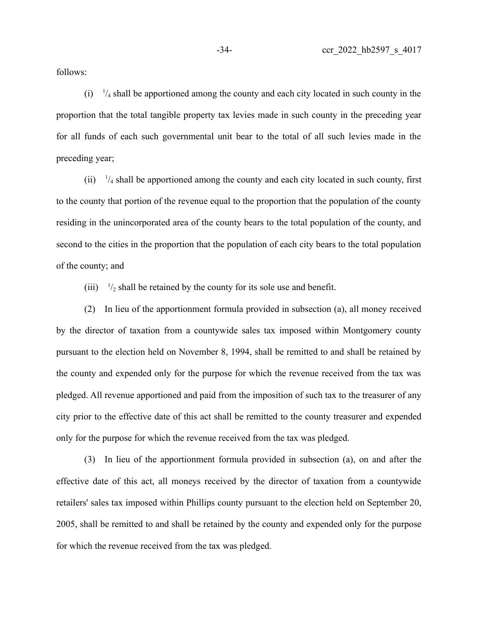follows:

 $(i)$   $\frac{1}{4}$  shall be apportioned among the county and each city located in such county in the proportion that the total tangible property tax levies made in such county in the preceding year for all funds of each such governmental unit bear to the total of all such levies made in the preceding year;

 $(ii)$   $\frac{1}{4}$  shall be apportioned among the county and each city located in such county, first to the county that portion of the revenue equal to the proportion that the population of the county residing in the unincorporated area of the county bears to the total population of the county, and second to the cities in the proportion that the population of each city bears to the total population of the county; and

 $(iii)$  $\frac{1}{2}$  shall be retained by the county for its sole use and benefit.

(2) In lieu of the apportionment formula provided in subsection (a), all money received by the director of taxation from a countywide sales tax imposed within Montgomery county pursuant to the election held on November 8, 1994, shall be remitted to and shall be retained by the county and expended only for the purpose for which the revenue received from the tax was pledged. All revenue apportioned and paid from the imposition of such tax to the treasurer of any city prior to the effective date of this act shall be remitted to the county treasurer and expended only for the purpose for which the revenue received from the tax was pledged.

(3) In lieu of the apportionment formula provided in subsection (a), on and after the effective date of this act, all moneys received by the director of taxation from a countywide retailers' sales tax imposed within Phillips county pursuant to the election held on September 20, 2005, shall be remitted to and shall be retained by the county and expended only for the purpose for which the revenue received from the tax was pledged.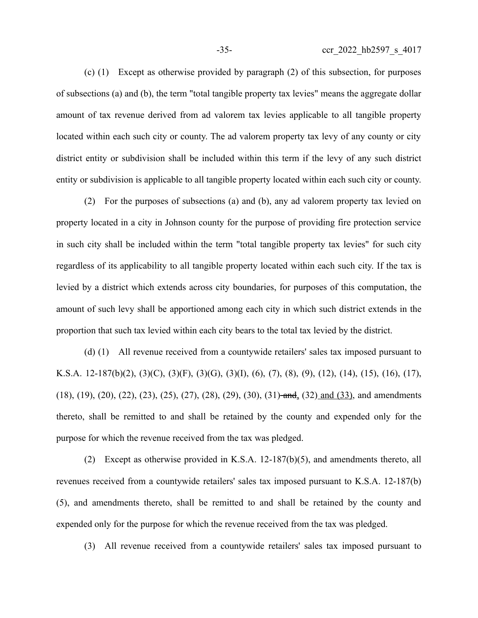(c) (1) Except as otherwise provided by paragraph (2) of this subsection, for purposes of subsections (a) and (b), the term "total tangible property tax levies" means the aggregate dollar amount of tax revenue derived from ad valorem tax levies applicable to all tangible property located within each such city or county. The ad valorem property tax levy of any county or city district entity or subdivision shall be included within this term if the levy of any such district entity or subdivision is applicable to all tangible property located within each such city or county.

(2) For the purposes of subsections (a) and (b), any ad valorem property tax levied on property located in a city in Johnson county for the purpose of providing fire protection service in such city shall be included within the term "total tangible property tax levies" for such city regardless of its applicability to all tangible property located within each such city. If the tax is levied by a district which extends across city boundaries, for purposes of this computation, the amount of such levy shall be apportioned among each city in which such district extends in the proportion that such tax levied within each city bears to the total tax levied by the district.

(d) (1) All revenue received from a countywide retailers' sales tax imposed pursuant to K.S.A. 12-187(b)(2), (3)(C), (3)(F), (3)(G), (3)(I), (6), (7), (8), (9), (12), (14), (15), (16), (17), (18), (19), (20), (22), (23), (25), (27), (28), (29), (30), (31)-and, (32) and (33), and amendments thereto, shall be remitted to and shall be retained by the county and expended only for the purpose for which the revenue received from the tax was pledged.

(2) Except as otherwise provided in K.S.A. 12-187(b)(5), and amendments thereto, all revenues received from a countywide retailers' sales tax imposed pursuant to K.S.A. 12-187(b) (5), and amendments thereto, shall be remitted to and shall be retained by the county and expended only for the purpose for which the revenue received from the tax was pledged.

(3) All revenue received from a countywide retailers' sales tax imposed pursuant to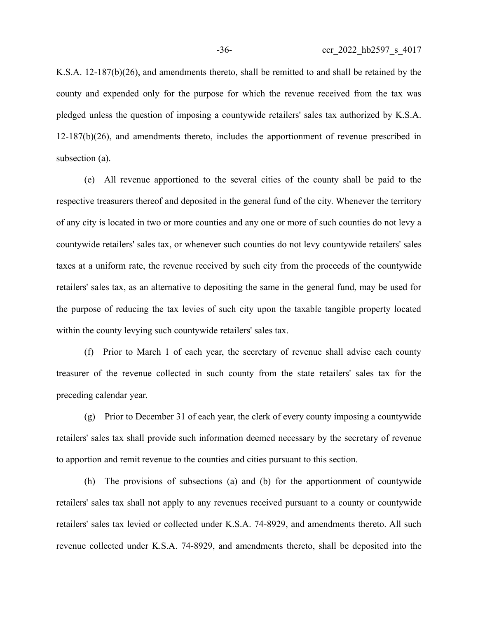K.S.A. 12-187(b)(26), and amendments thereto, shall be remitted to and shall be retained by the county and expended only for the purpose for which the revenue received from the tax was pledged unless the question of imposing a countywide retailers' sales tax authorized by K.S.A. 12-187(b)(26), and amendments thereto, includes the apportionment of revenue prescribed in subsection (a).

(e) All revenue apportioned to the several cities of the county shall be paid to the respective treasurers thereof and deposited in the general fund of the city. Whenever the territory of any city is located in two or more counties and any one or more of such counties do not levy a countywide retailers' sales tax, or whenever such counties do not levy countywide retailers' sales taxes at a uniform rate, the revenue received by such city from the proceeds of the countywide retailers' sales tax, as an alternative to depositing the same in the general fund, may be used for the purpose of reducing the tax levies of such city upon the taxable tangible property located within the county levying such countywide retailers' sales tax.

(f) Prior to March 1 of each year, the secretary of revenue shall advise each county treasurer of the revenue collected in such county from the state retailers' sales tax for the preceding calendar year.

(g) Prior to December 31 of each year, the clerk of every county imposing a countywide retailers' sales tax shall provide such information deemed necessary by the secretary of revenue to apportion and remit revenue to the counties and cities pursuant to this section.

(h) The provisions of subsections (a) and (b) for the apportionment of countywide retailers' sales tax shall not apply to any revenues received pursuant to a county or countywide retailers' sales tax levied or collected under K.S.A. 74-8929, and amendments thereto. All such revenue collected under K.S.A. 74-8929, and amendments thereto, shall be deposited into the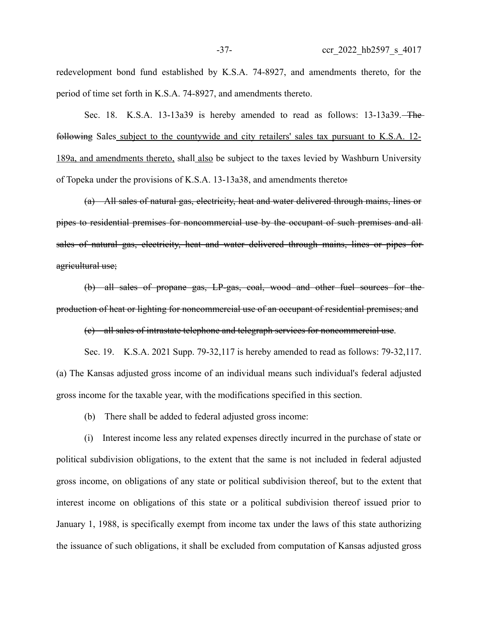redevelopment bond fund established by K.S.A. 74-8927, and amendments thereto, for the period of time set forth in K.S.A. 74-8927, and amendments thereto.

Sec. 18. K.S.A. 13-13a39 is hereby amended to read as follows: 13-13a39. The following Sales subject to the countywide and city retailers' sales tax pursuant to K.S.A. 12- 189a, and amendments thereto, shall also be subject to the taxes levied by Washburn University of Topeka under the provisions of K.S.A. 13-13a38, and amendments thereto:

(a) All sales of natural gas, electricity, heat and water delivered through mains, lines or pipes to residential premises for noncommercial use by the occupant of such premises and all sales of natural gas, electricity, heat and water delivered through mains, lines or pipes foragricultural use;

(b) all sales of propane gas, LP-gas, coal, wood and other fuel sources for the production of heat or lighting for noncommercial use of an occupant of residential premises; and

(c) all sales of intrastate telephone and telegraph services for noncommercial use.

Sec. 19. K.S.A. 2021 Supp. 79-32,117 is hereby amended to read as follows: 79-32,117. (a) The Kansas adjusted gross income of an individual means such individual's federal adjusted gross income for the taxable year, with the modifications specified in this section.

(b) There shall be added to federal adjusted gross income:

(i) Interest income less any related expenses directly incurred in the purchase of state or political subdivision obligations, to the extent that the same is not included in federal adjusted gross income, on obligations of any state or political subdivision thereof, but to the extent that interest income on obligations of this state or a political subdivision thereof issued prior to January 1, 1988, is specifically exempt from income tax under the laws of this state authorizing the issuance of such obligations, it shall be excluded from computation of Kansas adjusted gross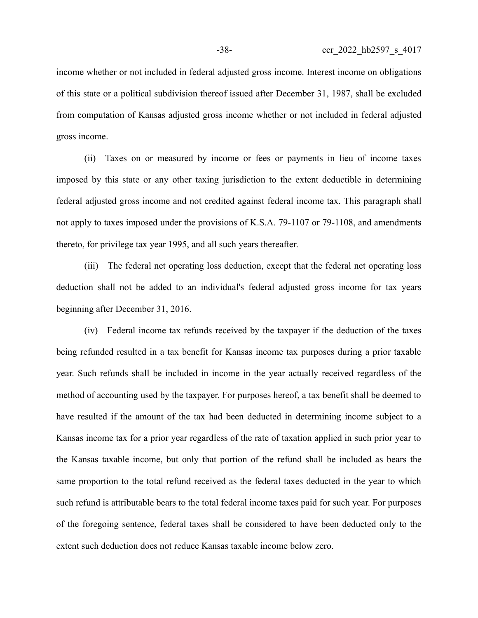income whether or not included in federal adjusted gross income. Interest income on obligations of this state or a political subdivision thereof issued after December 31, 1987, shall be excluded from computation of Kansas adjusted gross income whether or not included in federal adjusted gross income.

(ii) Taxes on or measured by income or fees or payments in lieu of income taxes imposed by this state or any other taxing jurisdiction to the extent deductible in determining federal adjusted gross income and not credited against federal income tax. This paragraph shall not apply to taxes imposed under the provisions of K.S.A. 79-1107 or 79-1108, and amendments thereto, for privilege tax year 1995, and all such years thereafter.

(iii) The federal net operating loss deduction, except that the federal net operating loss deduction shall not be added to an individual's federal adjusted gross income for tax years beginning after December 31, 2016.

(iv) Federal income tax refunds received by the taxpayer if the deduction of the taxes being refunded resulted in a tax benefit for Kansas income tax purposes during a prior taxable year. Such refunds shall be included in income in the year actually received regardless of the method of accounting used by the taxpayer. For purposes hereof, a tax benefit shall be deemed to have resulted if the amount of the tax had been deducted in determining income subject to a Kansas income tax for a prior year regardless of the rate of taxation applied in such prior year to the Kansas taxable income, but only that portion of the refund shall be included as bears the same proportion to the total refund received as the federal taxes deducted in the year to which such refund is attributable bears to the total federal income taxes paid for such year. For purposes of the foregoing sentence, federal taxes shall be considered to have been deducted only to the extent such deduction does not reduce Kansas taxable income below zero.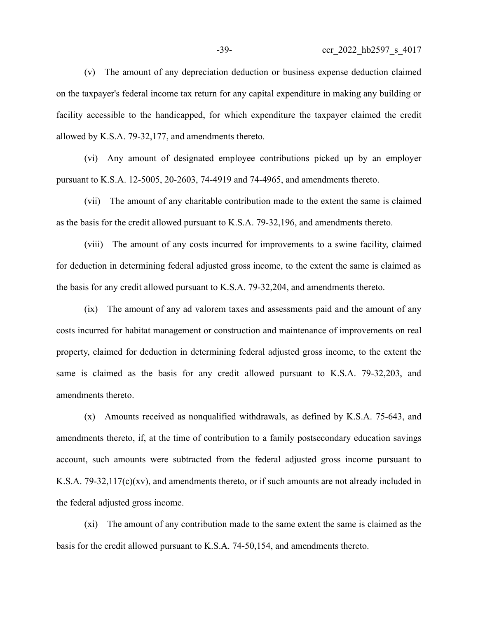(v) The amount of any depreciation deduction or business expense deduction claimed on the taxpayer's federal income tax return for any capital expenditure in making any building or facility accessible to the handicapped, for which expenditure the taxpayer claimed the credit

allowed by K.S.A. 79-32,177, and amendments thereto.

(vi) Any amount of designated employee contributions picked up by an employer pursuant to K.S.A. 12-5005, 20-2603, 74-4919 and 74-4965, and amendments thereto.

(vii) The amount of any charitable contribution made to the extent the same is claimed as the basis for the credit allowed pursuant to K.S.A. 79-32,196, and amendments thereto.

(viii) The amount of any costs incurred for improvements to a swine facility, claimed for deduction in determining federal adjusted gross income, to the extent the same is claimed as the basis for any credit allowed pursuant to K.S.A. 79-32,204, and amendments thereto.

(ix) The amount of any ad valorem taxes and assessments paid and the amount of any costs incurred for habitat management or construction and maintenance of improvements on real property, claimed for deduction in determining federal adjusted gross income, to the extent the same is claimed as the basis for any credit allowed pursuant to K.S.A. 79-32,203, and amendments thereto.

(x) Amounts received as nonqualified withdrawals, as defined by K.S.A. 75-643, and amendments thereto, if, at the time of contribution to a family postsecondary education savings account, such amounts were subtracted from the federal adjusted gross income pursuant to K.S.A. 79-32,117(c)(xv), and amendments thereto, or if such amounts are not already included in the federal adjusted gross income.

(xi) The amount of any contribution made to the same extent the same is claimed as the basis for the credit allowed pursuant to K.S.A. 74-50,154, and amendments thereto.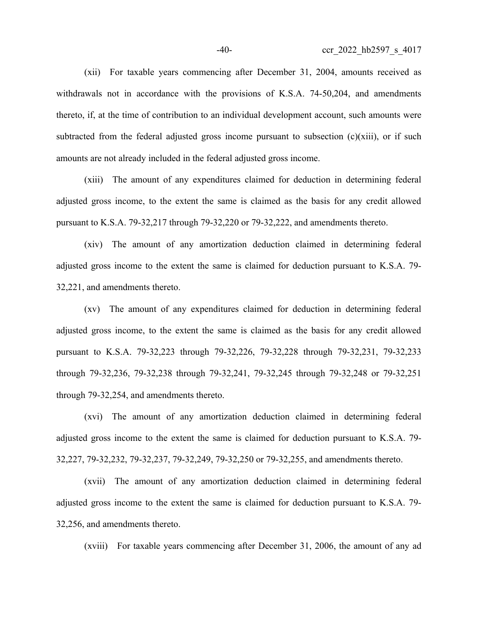(xii) For taxable years commencing after December 31, 2004, amounts received as withdrawals not in accordance with the provisions of K.S.A. 74-50,204, and amendments thereto, if, at the time of contribution to an individual development account, such amounts were subtracted from the federal adjusted gross income pursuant to subsection  $(c)(xiii)$ , or if such amounts are not already included in the federal adjusted gross income.

(xiii) The amount of any expenditures claimed for deduction in determining federal adjusted gross income, to the extent the same is claimed as the basis for any credit allowed pursuant to K.S.A. 79-32,217 through 79-32,220 or 79-32,222, and amendments thereto.

(xiv) The amount of any amortization deduction claimed in determining federal adjusted gross income to the extent the same is claimed for deduction pursuant to K.S.A. 79- 32,221, and amendments thereto.

(xv) The amount of any expenditures claimed for deduction in determining federal adjusted gross income, to the extent the same is claimed as the basis for any credit allowed pursuant to K.S.A. 79-32,223 through 79-32,226, 79-32,228 through 79-32,231, 79-32,233 through 79-32,236, 79-32,238 through 79-32,241, 79-32,245 through 79-32,248 or 79-32,251 through 79-32,254, and amendments thereto.

(xvi) The amount of any amortization deduction claimed in determining federal adjusted gross income to the extent the same is claimed for deduction pursuant to K.S.A. 79- 32,227, 79-32,232, 79-32,237, 79-32,249, 79-32,250 or 79-32,255, and amendments thereto.

(xvii) The amount of any amortization deduction claimed in determining federal adjusted gross income to the extent the same is claimed for deduction pursuant to K.S.A. 79- 32,256, and amendments thereto.

(xviii) For taxable years commencing after December 31, 2006, the amount of any ad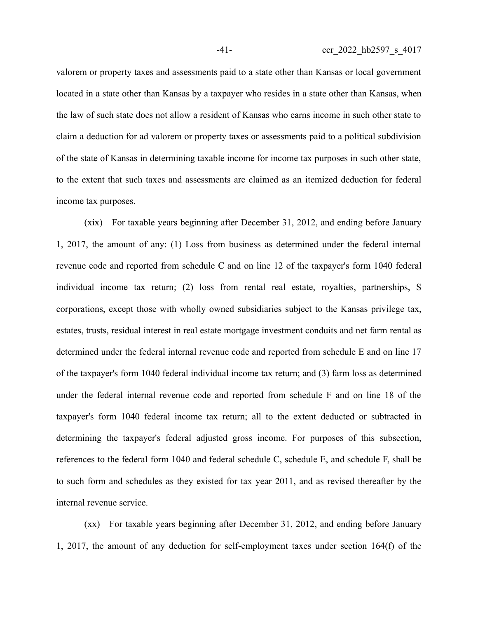valorem or property taxes and assessments paid to a state other than Kansas or local government located in a state other than Kansas by a taxpayer who resides in a state other than Kansas, when the law of such state does not allow a resident of Kansas who earns income in such other state to claim a deduction for ad valorem or property taxes or assessments paid to a political subdivision of the state of Kansas in determining taxable income for income tax purposes in such other state,

to the extent that such taxes and assessments are claimed as an itemized deduction for federal

income tax purposes.

(xix) For taxable years beginning after December 31, 2012, and ending before January 1, 2017, the amount of any: (1) Loss from business as determined under the federal internal revenue code and reported from schedule C and on line 12 of the taxpayer's form 1040 federal individual income tax return; (2) loss from rental real estate, royalties, partnerships, S corporations, except those with wholly owned subsidiaries subject to the Kansas privilege tax, estates, trusts, residual interest in real estate mortgage investment conduits and net farm rental as determined under the federal internal revenue code and reported from schedule E and on line 17 of the taxpayer's form 1040 federal individual income tax return; and (3) farm loss as determined under the federal internal revenue code and reported from schedule F and on line 18 of the taxpayer's form 1040 federal income tax return; all to the extent deducted or subtracted in determining the taxpayer's federal adjusted gross income. For purposes of this subsection, references to the federal form 1040 and federal schedule C, schedule E, and schedule F, shall be to such form and schedules as they existed for tax year 2011, and as revised thereafter by the internal revenue service.

(xx) For taxable years beginning after December 31, 2012, and ending before January 1, 2017, the amount of any deduction for self-employment taxes under section 164(f) of the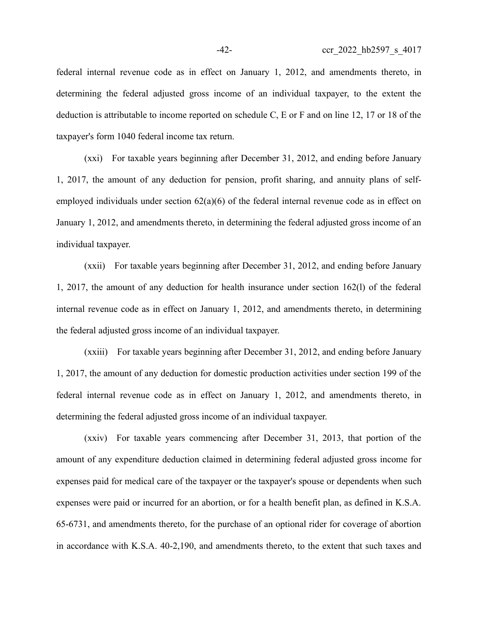federal internal revenue code as in effect on January 1, 2012, and amendments thereto, in determining the federal adjusted gross income of an individual taxpayer, to the extent the deduction is attributable to income reported on schedule C, E or F and on line 12, 17 or 18 of the taxpayer's form 1040 federal income tax return.

(xxi) For taxable years beginning after December 31, 2012, and ending before January 1, 2017, the amount of any deduction for pension, profit sharing, and annuity plans of selfemployed individuals under section 62(a)(6) of the federal internal revenue code as in effect on January 1, 2012, and amendments thereto, in determining the federal adjusted gross income of an individual taxpayer.

(xxii) For taxable years beginning after December 31, 2012, and ending before January 1, 2017, the amount of any deduction for health insurance under section 162(l) of the federal internal revenue code as in effect on January 1, 2012, and amendments thereto, in determining the federal adjusted gross income of an individual taxpayer.

(xxiii) For taxable years beginning after December 31, 2012, and ending before January 1, 2017, the amount of any deduction for domestic production activities under section 199 of the federal internal revenue code as in effect on January 1, 2012, and amendments thereto, in determining the federal adjusted gross income of an individual taxpayer.

(xxiv) For taxable years commencing after December 31, 2013, that portion of the amount of any expenditure deduction claimed in determining federal adjusted gross income for expenses paid for medical care of the taxpayer or the taxpayer's spouse or dependents when such expenses were paid or incurred for an abortion, or for a health benefit plan, as defined in K.S.A. 65-6731, and amendments thereto, for the purchase of an optional rider for coverage of abortion in accordance with K.S.A. 40-2,190, and amendments thereto, to the extent that such taxes and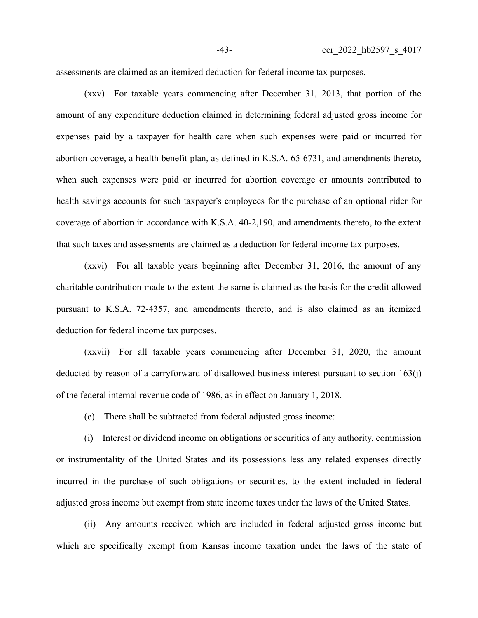assessments are claimed as an itemized deduction for federal income tax purposes.

(xxv) For taxable years commencing after December 31, 2013, that portion of the amount of any expenditure deduction claimed in determining federal adjusted gross income for expenses paid by a taxpayer for health care when such expenses were paid or incurred for abortion coverage, a health benefit plan, as defined in K.S.A. 65-6731, and amendments thereto, when such expenses were paid or incurred for abortion coverage or amounts contributed to health savings accounts for such taxpayer's employees for the purchase of an optional rider for coverage of abortion in accordance with K.S.A. 40-2,190, and amendments thereto, to the extent that such taxes and assessments are claimed as a deduction for federal income tax purposes.

(xxvi) For all taxable years beginning after December 31, 2016, the amount of any charitable contribution made to the extent the same is claimed as the basis for the credit allowed pursuant to K.S.A. 72-4357, and amendments thereto, and is also claimed as an itemized deduction for federal income tax purposes.

(xxvii) For all taxable years commencing after December 31, 2020, the amount deducted by reason of a carryforward of disallowed business interest pursuant to section 163(j) of the federal internal revenue code of 1986, as in effect on January 1, 2018.

(c) There shall be subtracted from federal adjusted gross income:

(i) Interest or dividend income on obligations or securities of any authority, commission or instrumentality of the United States and its possessions less any related expenses directly incurred in the purchase of such obligations or securities, to the extent included in federal adjusted gross income but exempt from state income taxes under the laws of the United States.

(ii) Any amounts received which are included in federal adjusted gross income but which are specifically exempt from Kansas income taxation under the laws of the state of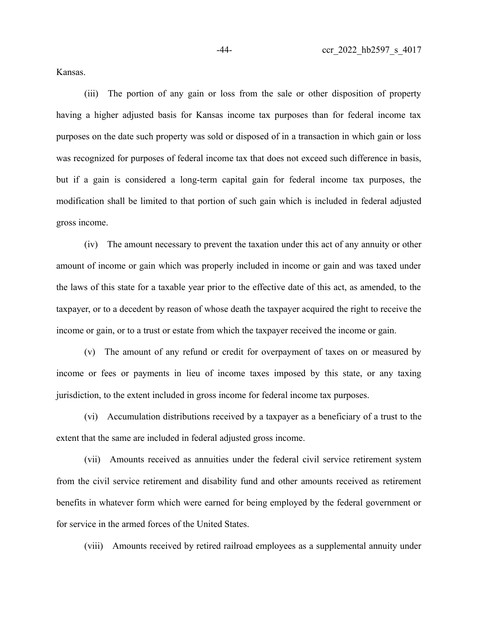Kansas.

(iii) The portion of any gain or loss from the sale or other disposition of property having a higher adjusted basis for Kansas income tax purposes than for federal income tax purposes on the date such property was sold or disposed of in a transaction in which gain or loss was recognized for purposes of federal income tax that does not exceed such difference in basis, but if a gain is considered a long-term capital gain for federal income tax purposes, the modification shall be limited to that portion of such gain which is included in federal adjusted gross income.

(iv) The amount necessary to prevent the taxation under this act of any annuity or other amount of income or gain which was properly included in income or gain and was taxed under the laws of this state for a taxable year prior to the effective date of this act, as amended, to the taxpayer, or to a decedent by reason of whose death the taxpayer acquired the right to receive the income or gain, or to a trust or estate from which the taxpayer received the income or gain.

(v) The amount of any refund or credit for overpayment of taxes on or measured by income or fees or payments in lieu of income taxes imposed by this state, or any taxing jurisdiction, to the extent included in gross income for federal income tax purposes.

(vi) Accumulation distributions received by a taxpayer as a beneficiary of a trust to the extent that the same are included in federal adjusted gross income.

(vii) Amounts received as annuities under the federal civil service retirement system from the civil service retirement and disability fund and other amounts received as retirement benefits in whatever form which were earned for being employed by the federal government or for service in the armed forces of the United States.

(viii) Amounts received by retired railroad employees as a supplemental annuity under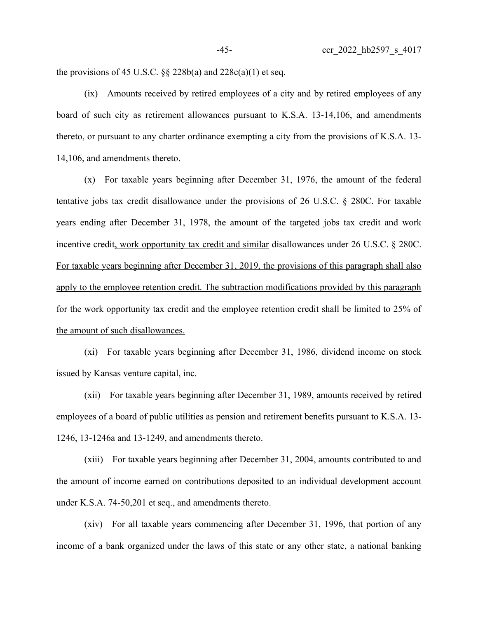the provisions of 45 U.S.C.  $\S\S 228b(a)$  and  $228c(a)(1)$  et seq.

(ix) Amounts received by retired employees of a city and by retired employees of any board of such city as retirement allowances pursuant to K.S.A. 13-14,106, and amendments thereto, or pursuant to any charter ordinance exempting a city from the provisions of K.S.A. 13- 14,106, and amendments thereto.

(x) For taxable years beginning after December 31, 1976, the amount of the federal tentative jobs tax credit disallowance under the provisions of 26 U.S.C. § 280C. For taxable years ending after December 31, 1978, the amount of the targeted jobs tax credit and work incentive credit, work opportunity tax credit and similar disallowances under 26 U.S.C. § 280C. For taxable years beginning after December 31, 2019, the provisions of this paragraph shall also apply to the employee retention credit. The subtraction modifications provided by this paragraph for the work opportunity tax credit and the employee retention credit shall be limited to 25% of the amount of such disallowances.

(xi) For taxable years beginning after December 31, 1986, dividend income on stock issued by Kansas venture capital, inc.

(xii) For taxable years beginning after December 31, 1989, amounts received by retired employees of a board of public utilities as pension and retirement benefits pursuant to K.S.A. 13- 1246, 13-1246a and 13-1249, and amendments thereto.

(xiii) For taxable years beginning after December 31, 2004, amounts contributed to and the amount of income earned on contributions deposited to an individual development account under K.S.A. 74-50,201 et seq., and amendments thereto.

(xiv) For all taxable years commencing after December 31, 1996, that portion of any income of a bank organized under the laws of this state or any other state, a national banking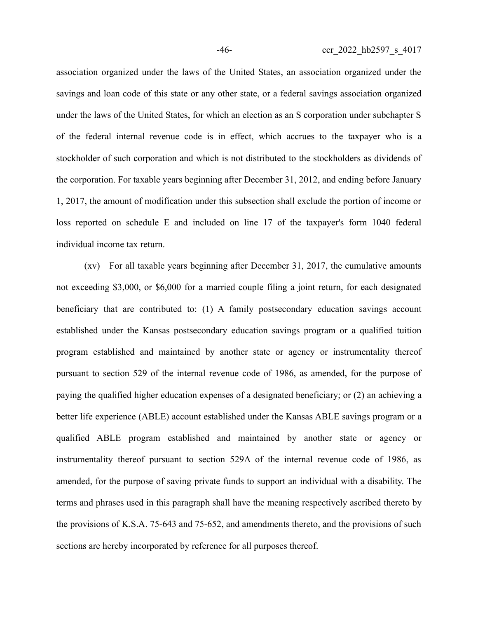association organized under the laws of the United States, an association organized under the savings and loan code of this state or any other state, or a federal savings association organized under the laws of the United States, for which an election as an S corporation under subchapter S of the federal internal revenue code is in effect, which accrues to the taxpayer who is a stockholder of such corporation and which is not distributed to the stockholders as dividends of the corporation. For taxable years beginning after December 31, 2012, and ending before January 1, 2017, the amount of modification under this subsection shall exclude the portion of income or loss reported on schedule E and included on line 17 of the taxpayer's form 1040 federal individual income tax return.

(xv) For all taxable years beginning after December 31, 2017, the cumulative amounts not exceeding \$3,000, or \$6,000 for a married couple filing a joint return, for each designated beneficiary that are contributed to: (1) A family postsecondary education savings account established under the Kansas postsecondary education savings program or a qualified tuition program established and maintained by another state or agency or instrumentality thereof pursuant to section 529 of the internal revenue code of 1986, as amended, for the purpose of paying the qualified higher education expenses of a designated beneficiary; or (2) an achieving a better life experience (ABLE) account established under the Kansas ABLE savings program or a qualified ABLE program established and maintained by another state or agency or instrumentality thereof pursuant to section 529A of the internal revenue code of 1986, as amended, for the purpose of saving private funds to support an individual with a disability. The terms and phrases used in this paragraph shall have the meaning respectively ascribed thereto by the provisions of K.S.A. 75-643 and 75-652, and amendments thereto, and the provisions of such sections are hereby incorporated by reference for all purposes thereof.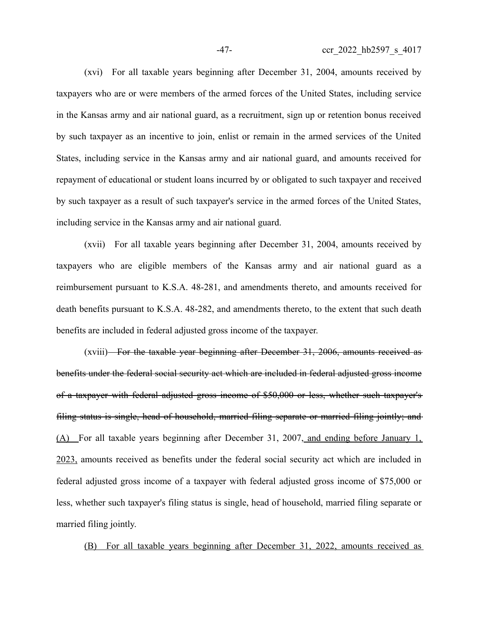(xvi) For all taxable years beginning after December 31, 2004, amounts received by taxpayers who are or were members of the armed forces of the United States, including service in the Kansas army and air national guard, as a recruitment, sign up or retention bonus received by such taxpayer as an incentive to join, enlist or remain in the armed services of the United States, including service in the Kansas army and air national guard, and amounts received for repayment of educational or student loans incurred by or obligated to such taxpayer and received by such taxpayer as a result of such taxpayer's service in the armed forces of the United States, including service in the Kansas army and air national guard.

(xvii) For all taxable years beginning after December 31, 2004, amounts received by taxpayers who are eligible members of the Kansas army and air national guard as a reimbursement pursuant to K.S.A. 48-281, and amendments thereto, and amounts received for death benefits pursuant to K.S.A. 48-282, and amendments thereto, to the extent that such death benefits are included in federal adjusted gross income of the taxpayer.

(xviii) For the taxable year beginning after December 31, 2006, amounts received as benefits under the federal social security act which are included in federal adjusted gross income of a taxpayer with federal adjusted gross income of \$50,000 or less, whether such taxpayer's filing status is single, head of household, married filing separate or married filing jointly; and (A) For all taxable years beginning after December 31, 2007, and ending before January 1, 2023, amounts received as benefits under the federal social security act which are included in federal adjusted gross income of a taxpayer with federal adjusted gross income of \$75,000 or less, whether such taxpayer's filing status is single, head of household, married filing separate or married filing jointly.

(B) For all taxable years beginning after December 31, 2022, amounts received as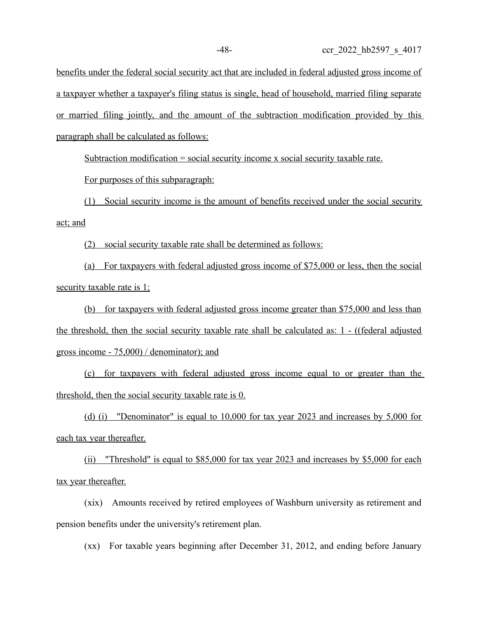benefits under the federal social security act that are included in federal adjusted gross income of a taxpayer whether a taxpayer's filing status is single, head of household, married filing separate or married filing jointly, and the amount of the subtraction modification provided by this paragraph shall be calculated as follows:

Subtraction modification = social security income x social security taxable rate.

For purposes of this subparagraph:

(1) Social security income is the amount of benefits received under the social security act; and

(2) social security taxable rate shall be determined as follows:

(a) For taxpayers with federal adjusted gross income of \$75,000 or less, then the social security taxable rate is 1;

(b) for taxpayers with federal adjusted gross income greater than \$75,000 and less than the threshold, then the social security taxable rate shall be calculated as:  $1 - ((federal adjusted)$ gross income - 75,000) / denominator ); and

 (c) for taxpayers with federal adjusted gross income equal to or greater than the threshold, then the social security taxable rate is  $0$ .

(d) (i) "Denominator" is equal to 10,000 for tax year 2023 and increases by 5,000 for each tax year thereafter.

(ii) "Threshold" is equal to \$85,000 for tax year 2023 and increases by \$5,000 for each tax year thereafter.

(xix) Amounts received by retired employees of Washburn university as retirement and pension benefits under the university's retirement plan.

(xx) For taxable years beginning after December 31, 2012, and ending before January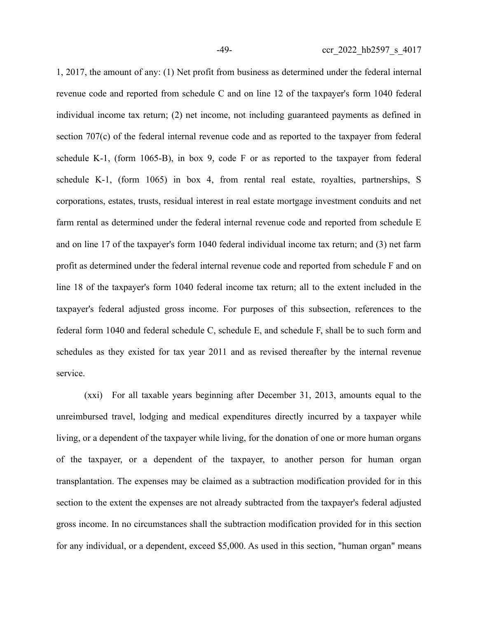1, 2017, the amount of any: (1) Net profit from business as determined under the federal internal revenue code and reported from schedule C and on line 12 of the taxpayer's form 1040 federal individual income tax return; (2) net income, not including guaranteed payments as defined in section 707(c) of the federal internal revenue code and as reported to the taxpayer from federal schedule K-1, (form 1065-B), in box 9, code F or as reported to the taxpayer from federal schedule K-1, (form 1065) in box 4, from rental real estate, royalties, partnerships, S corporations, estates, trusts, residual interest in real estate mortgage investment conduits and net farm rental as determined under the federal internal revenue code and reported from schedule E and on line 17 of the taxpayer's form 1040 federal individual income tax return; and (3) net farm profit as determined under the federal internal revenue code and reported from schedule F and on line 18 of the taxpayer's form 1040 federal income tax return; all to the extent included in the taxpayer's federal adjusted gross income. For purposes of this subsection, references to the federal form 1040 and federal schedule C, schedule E, and schedule F, shall be to such form and schedules as they existed for tax year 2011 and as revised thereafter by the internal revenue service.

(xxi) For all taxable years beginning after December 31, 2013, amounts equal to the unreimbursed travel, lodging and medical expenditures directly incurred by a taxpayer while living, or a dependent of the taxpayer while living, for the donation of one or more human organs of the taxpayer, or a dependent of the taxpayer, to another person for human organ transplantation. The expenses may be claimed as a subtraction modification provided for in this section to the extent the expenses are not already subtracted from the taxpayer's federal adjusted gross income. In no circumstances shall the subtraction modification provided for in this section for any individual, or a dependent, exceed \$5,000. As used in this section, "human organ" means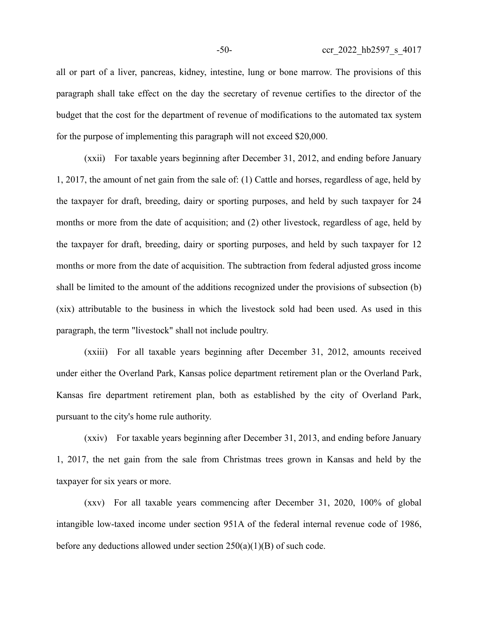all or part of a liver, pancreas, kidney, intestine, lung or bone marrow. The provisions of this paragraph shall take effect on the day the secretary of revenue certifies to the director of the budget that the cost for the department of revenue of modifications to the automated tax system for the purpose of implementing this paragraph will not exceed \$20,000.

(xxii) For taxable years beginning after December 31, 2012, and ending before January 1, 2017, the amount of net gain from the sale of: (1) Cattle and horses, regardless of age, held by the taxpayer for draft, breeding, dairy or sporting purposes, and held by such taxpayer for 24 months or more from the date of acquisition; and (2) other livestock, regardless of age, held by the taxpayer for draft, breeding, dairy or sporting purposes, and held by such taxpayer for 12 months or more from the date of acquisition. The subtraction from federal adjusted gross income shall be limited to the amount of the additions recognized under the provisions of subsection (b) (xix) attributable to the business in which the livestock sold had been used. As used in this paragraph, the term "livestock" shall not include poultry.

(xxiii) For all taxable years beginning after December 31, 2012, amounts received under either the Overland Park, Kansas police department retirement plan or the Overland Park, Kansas fire department retirement plan, both as established by the city of Overland Park, pursuant to the city's home rule authority.

(xxiv) For taxable years beginning after December 31, 2013, and ending before January 1, 2017, the net gain from the sale from Christmas trees grown in Kansas and held by the taxpayer for six years or more.

(xxv) For all taxable years commencing after December 31, 2020, 100% of global intangible low-taxed income under section 951A of the federal internal revenue code of 1986, before any deductions allowed under section 250(a)(1)(B) of such code.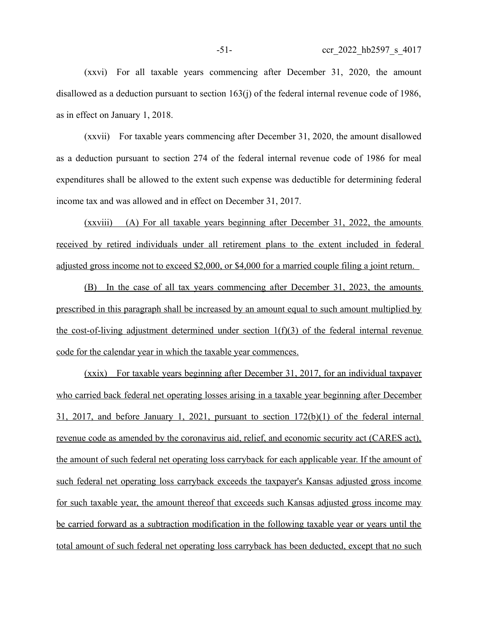(xxvi) For all taxable years commencing after December 31, 2020, the amount disallowed as a deduction pursuant to section 163(j) of the federal internal revenue code of 1986, as in effect on January 1, 2018.

(xxvii) For taxable years commencing after December 31, 2020, the amount disallowed as a deduction pursuant to section 274 of the federal internal revenue code of 1986 for meal expenditures shall be allowed to the extent such expense was deductible for determining federal income tax and was allowed and in effect on December 31, 2017.

(xxviii) (A) For all taxable years beginning after December 31, 2022, the amounts received by retired individuals under all retirement plans to the extent included in federal adjusted gross income not to exceed \$2,000, or \$4,000 for a married couple filing a joint return.

(B) In the case of all tax years commencing after December 31, 2023, the amounts prescribed in this paragraph shall be increased by an amount equal to such amount multiplied by the cost-of-living adjustment determined under section  $1(f)(3)$  of the federal internal revenue code for the calendar year in which the taxable year commences.

(xxix) For taxable years beginning after December 31, 2017, for an individual taxpayer who carried back federal net operating losses arising in a taxable year beginning after December 31, 2017, and before January 1, 2021, pursuant to section 172(b)(1) of the federal internal revenue code as amended by the coronavirus aid, relief, and economic security act (CARES act), the amount of such federal net operating loss carryback for each applicable year. If the amount of such federal net operating loss carryback exceeds the taxpayer's Kansas adjusted gross income for such taxable year, the amount thereof that exceeds such Kansas adjusted gross income may be carried forward as a subtraction modification in the following taxable year or years until the total amount of such federal net operating loss carryback has been deducted, except that no such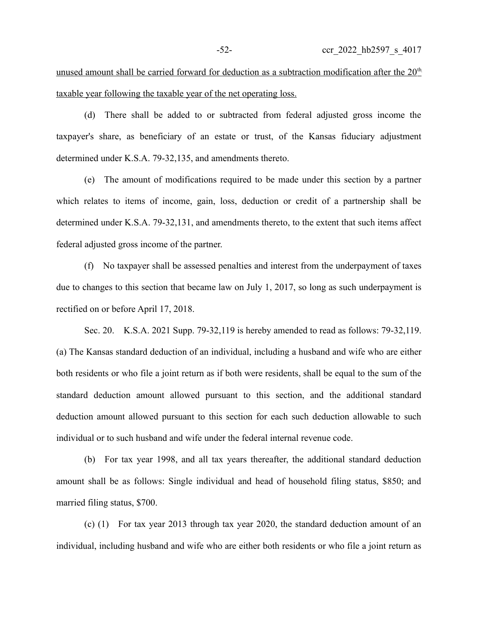unused amount shall be carried forward for deduction as a subtraction modification after the  $20<sup>th</sup>$ taxable year following the taxable year of the net operating loss.

(d) There shall be added to or subtracted from federal adjusted gross income the taxpayer's share, as beneficiary of an estate or trust, of the Kansas fiduciary adjustment determined under K.S.A. 79-32,135, and amendments thereto.

(e) The amount of modifications required to be made under this section by a partner which relates to items of income, gain, loss, deduction or credit of a partnership shall be determined under K.S.A. 79-32,131, and amendments thereto, to the extent that such items affect federal adjusted gross income of the partner.

(f) No taxpayer shall be assessed penalties and interest from the underpayment of taxes due to changes to this section that became law on July 1, 2017, so long as such underpayment is rectified on or before April 17, 2018.

Sec. 20. K.S.A. 2021 Supp. 79-32,119 is hereby amended to read as follows: 79-32,119. (a) The Kansas standard deduction of an individual, including a husband and wife who are either both residents or who file a joint return as if both were residents, shall be equal to the sum of the standard deduction amount allowed pursuant to this section, and the additional standard deduction amount allowed pursuant to this section for each such deduction allowable to such individual or to such husband and wife under the federal internal revenue code.

(b) For tax year 1998, and all tax years thereafter, the additional standard deduction amount shall be as follows: Single individual and head of household filing status, \$850; and married filing status, \$700.

(c) (1) For tax year 2013 through tax year 2020, the standard deduction amount of an individual, including husband and wife who are either both residents or who file a joint return as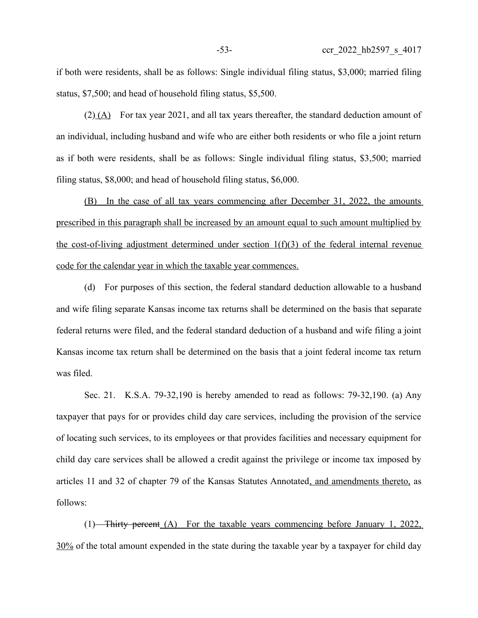if both were residents, shall be as follows: Single individual filing status, \$3,000; married filing status, \$7,500; and head of household filing status, \$5,500.

(2) (A) For tax year 2021, and all tax years thereafter, the standard deduction amount of an individual, including husband and wife who are either both residents or who file a joint return as if both were residents, shall be as follows: Single individual filing status, \$3,500; married filing status, \$8,000; and head of household filing status, \$6,000.

(B) In the case of all tax years commencing after December 31, 2022, the amounts prescribed in this paragraph shall be increased by an amount equal to such amount multiplied by the cost-of-living adjustment determined under section  $1(f)(3)$  of the federal internal revenue code for the calendar year in which the taxable year commences.

(d) For purposes of this section, the federal standard deduction allowable to a husband and wife filing separate Kansas income tax returns shall be determined on the basis that separate federal returns were filed, and the federal standard deduction of a husband and wife filing a joint Kansas income tax return shall be determined on the basis that a joint federal income tax return was filed.

Sec. 21. K.S.A. 79-32,190 is hereby amended to read as follows: 79-32,190. (a) Any taxpayer that pays for or provides child day care services, including the provision of the service of locating such services, to its employees or that provides facilities and necessary equipment for child day care services shall be allowed a credit against the privilege or income tax imposed by articles 11 and 32 of chapter 79 of the Kansas Statutes Annotated, and amendments thereto, as follows:

(1) Thirty percent  $(A)$  For the taxable years commencing before January 1, 2022, 30% of the total amount expended in the state during the taxable year by a taxpayer for child day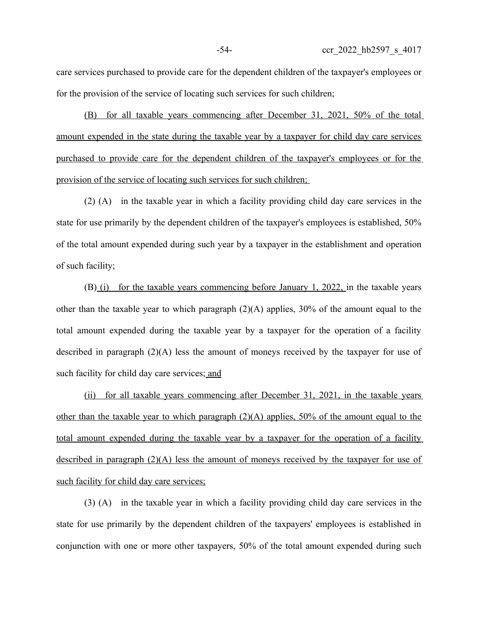care services purchased to provide care for the dependent children of the taxpayer's employees or for the provision of the service of locating such services for such children;

(B) for all taxable years commencing after December 31, 2021, 50% of the total amount expended in the state during the taxable year by a taxpayer for child day care services purchased to provide care for the dependent children of the taxpayer's employees or for the provision of the service of locating such services for such children;

(2) (A) in the taxable year in which a facility providing child day care services in the state for use primarily by the dependent children of the taxpayer's employees is established, 50% of the total amount expended during such year by a taxpayer in the establishment and operation of such facility;

(B) (i) for the taxable years commencing before January 1, 2022, in the taxable years other than the taxable year to which paragraph (2)(A) applies, 30% of the amount equal to the total amount expended during the taxable year by a taxpayer for the operation of a facility described in paragraph (2)(A) less the amount of moneys received by the taxpayer for use of such facility for child day care services; and

(ii) for all taxable years commencing after December 31, 2021, in the taxable years other than the taxable year to which paragraph  $(2)(A)$  applies, 50% of the amount equal to the total amount expended during the taxable year by a taxpayer for the operation of a facility described in paragraph (2)(A) less the amount of moneys received by the taxpayer for use of such facility for child day care services;

(3) (A) in the taxable year in which a facility providing child day care services in the state for use primarily by the dependent children of the taxpayers' employees is established in conjunction with one or more other taxpayers, 50% of the total amount expended during such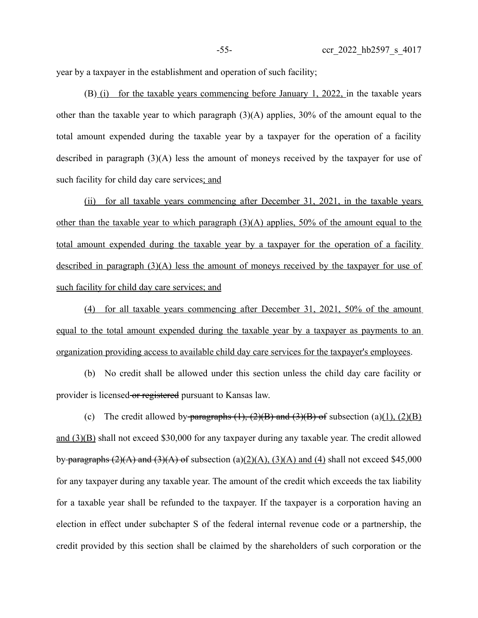year by a taxpayer in the establishment and operation of such facility;

(B) (i) for the taxable years commencing before January 1, 2022, in the taxable years other than the taxable year to which paragraph  $(3)(A)$  applies, 30% of the amount equal to the total amount expended during the taxable year by a taxpayer for the operation of a facility described in paragraph (3)(A) less the amount of moneys received by the taxpayer for use of such facility for child day care services; and

(ii) for all taxable years commencing after December 31, 2021, in the taxable years other than the taxable year to which paragraph  $(3)(A)$  applies, 50% of the amount equal to the total amount expended during the taxable year by a taxpayer for the operation of a facility described in paragraph (3)(A) less the amount of moneys received by the taxpayer for use of such facility for child day care services; and

(4) for all taxable years commencing after December 31, 2021, 50% of the amount equal to the total amount expended during the taxable year by a taxpayer as payments to an organization providing access to available child day care services for the taxpayer's employees.

(b) No credit shall be allowed under this section unless the child day care facility or provider is licensed or registered pursuant to Kansas law.

(c) The credit allowed by paragraphs  $(1)$ ,  $(2)(B)$  and  $(3)(B)$  of subsection  $(a)(1)$ ,  $(2)(B)$ and (3)(B) shall not exceed \$30,000 for any taxpayer during any taxable year. The credit allowed by paragraphs  $(2)(A)$  and  $(3)(A)$  of subsection (a)(2)(A), (3)(A) and (4) shall not exceed \$45,000 for any taxpayer during any taxable year. The amount of the credit which exceeds the tax liability for a taxable year shall be refunded to the taxpayer. If the taxpayer is a corporation having an election in effect under subchapter S of the federal internal revenue code or a partnership, the credit provided by this section shall be claimed by the shareholders of such corporation or the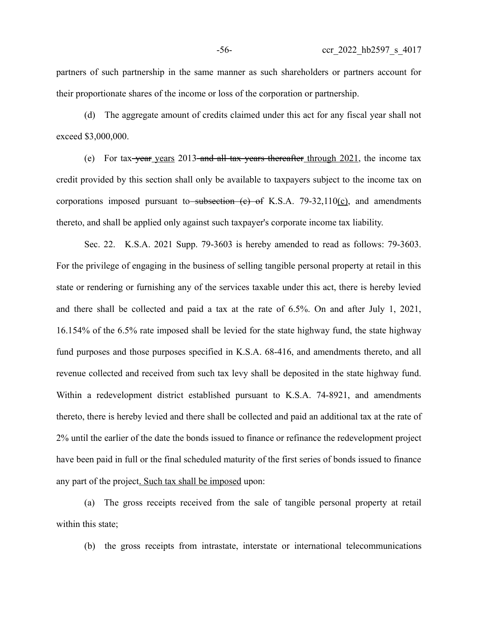partners of such partnership in the same manner as such shareholders or partners account for their proportionate shares of the income or loss of the corporation or partnership.

(d) The aggregate amount of credits claimed under this act for any fiscal year shall not exceed \$3,000,000.

(e) For tax-year years 2013 and all tax years thereafter through 2021, the income tax credit provided by this section shall only be available to taxpayers subject to the income tax on corporations imposed pursuant to subsection  $(e)$  of K.S.A. 79-32,110(c), and amendments thereto, and shall be applied only against such taxpayer's corporate income tax liability.

Sec. 22. K.S.A. 2021 Supp. 79-3603 is hereby amended to read as follows: 79-3603. For the privilege of engaging in the business of selling tangible personal property at retail in this state or rendering or furnishing any of the services taxable under this act, there is hereby levied and there shall be collected and paid a tax at the rate of 6.5%. On and after July 1, 2021, 16.154% of the 6.5% rate imposed shall be levied for the state highway fund, the state highway fund purposes and those purposes specified in K.S.A. 68-416, and amendments thereto, and all revenue collected and received from such tax levy shall be deposited in the state highway fund. Within a redevelopment district established pursuant to K.S.A. 74-8921, and amendments thereto, there is hereby levied and there shall be collected and paid an additional tax at the rate of 2% until the earlier of the date the bonds issued to finance or refinance the redevelopment project have been paid in full or the final scheduled maturity of the first series of bonds issued to finance any part of the project. Such tax shall be imposed upon:

(a) The gross receipts received from the sale of tangible personal property at retail within this state;

(b) the gross receipts from intrastate, interstate or international telecommunications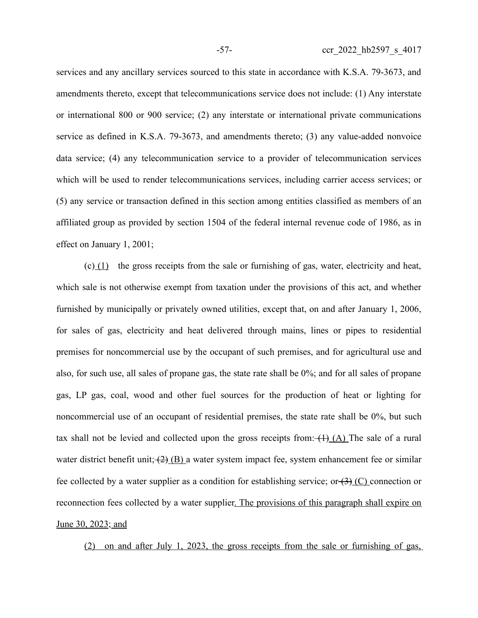services and any ancillary services sourced to this state in accordance with K.S.A. 79-3673, and amendments thereto, except that telecommunications service does not include: (1) Any interstate or international 800 or 900 service; (2) any interstate or international private communications service as defined in K.S.A. 79-3673, and amendments thereto; (3) any value-added nonvoice data service; (4) any telecommunication service to a provider of telecommunication services which will be used to render telecommunications services, including carrier access services; or (5) any service or transaction defined in this section among entities classified as members of an affiliated group as provided by section 1504 of the federal internal revenue code of 1986, as in effect on January 1, 2001;

 $(c)$  (1) the gross receipts from the sale or furnishing of gas, water, electricity and heat, which sale is not otherwise exempt from taxation under the provisions of this act, and whether furnished by municipally or privately owned utilities, except that, on and after January 1, 2006, for sales of gas, electricity and heat delivered through mains, lines or pipes to residential premises for noncommercial use by the occupant of such premises, and for agricultural use and also, for such use, all sales of propane gas, the state rate shall be 0%; and for all sales of propane gas, LP gas, coal, wood and other fuel sources for the production of heat or lighting for noncommercial use of an occupant of residential premises, the state rate shall be 0%, but such tax shall not be levied and collected upon the gross receipts from:  $(1)$  (A) The sale of a rural water district benefit unit;  $(2)$  (B) a water system impact fee, system enhancement fee or similar fee collected by a water supplier as a condition for establishing service; or  $(3)$  (C) connection or reconnection fees collected by a water supplier. The provisions of this paragraph shall expire on June 30, 2023; and

(2) on and after July 1, 2023, the gross receipts from the sale or furnishing of gas,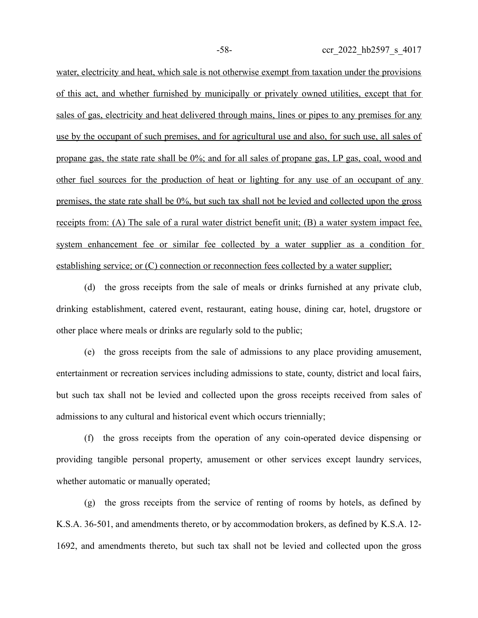water, electricity and heat, which sale is not otherwise exempt from taxation under the provisions of this act, and whether furnished by municipally or privately owned utilities, except that for sales of gas, electricity and heat delivered through mains, lines or pipes to any premises for any use by the occupant of such premises, and for agricultural use and also, for such use, all sales of propane gas, the state rate shall be 0%; and for all sales of propane gas, LP gas, coal, wood and other fuel sources for the production of heat or lighting for any use of an occupant of any premises, the state rate shall be 0%, but such tax shall not be levied and collected upon the gross receipts from: (A) The sale of a rural water district benefit unit; (B) a water system impact fee, system enhancement fee or similar fee collected by a water supplier as a condition for establishing service; or (C) connection or reconnection fees collected by a water supplier;

(d) the gross receipts from the sale of meals or drinks furnished at any private club, drinking establishment, catered event, restaurant, eating house, dining car, hotel, drugstore or other place where meals or drinks are regularly sold to the public;

(e) the gross receipts from the sale of admissions to any place providing amusement, entertainment or recreation services including admissions to state, county, district and local fairs, but such tax shall not be levied and collected upon the gross receipts received from sales of admissions to any cultural and historical event which occurs triennially;

(f) the gross receipts from the operation of any coin-operated device dispensing or providing tangible personal property, amusement or other services except laundry services, whether automatic or manually operated;

(g) the gross receipts from the service of renting of rooms by hotels, as defined by K.S.A. 36-501, and amendments thereto, or by accommodation brokers, as defined by K.S.A. 12- 1692, and amendments thereto, but such tax shall not be levied and collected upon the gross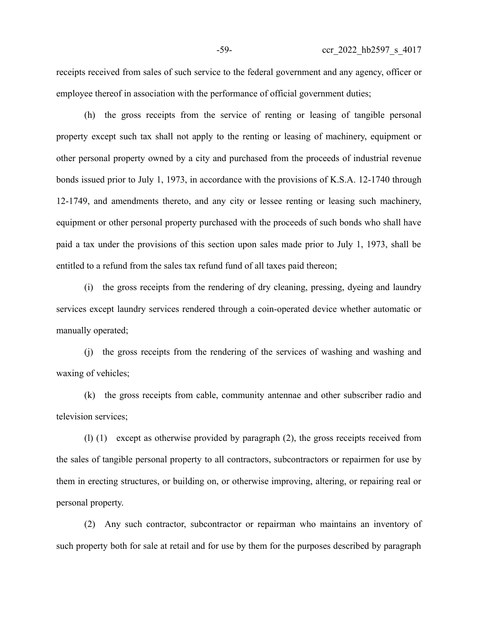receipts received from sales of such service to the federal government and any agency, officer or employee thereof in association with the performance of official government duties;

(h) the gross receipts from the service of renting or leasing of tangible personal property except such tax shall not apply to the renting or leasing of machinery, equipment or other personal property owned by a city and purchased from the proceeds of industrial revenue bonds issued prior to July 1, 1973, in accordance with the provisions of K.S.A. 12-1740 through 12-1749, and amendments thereto, and any city or lessee renting or leasing such machinery, equipment or other personal property purchased with the proceeds of such bonds who shall have paid a tax under the provisions of this section upon sales made prior to July 1, 1973, shall be entitled to a refund from the sales tax refund fund of all taxes paid thereon;

(i) the gross receipts from the rendering of dry cleaning, pressing, dyeing and laundry services except laundry services rendered through a coin-operated device whether automatic or manually operated;

(j) the gross receipts from the rendering of the services of washing and washing and waxing of vehicles;

(k) the gross receipts from cable, community antennae and other subscriber radio and television services;

(l) (1) except as otherwise provided by paragraph (2), the gross receipts received from the sales of tangible personal property to all contractors, subcontractors or repairmen for use by them in erecting structures, or building on, or otherwise improving, altering, or repairing real or personal property.

(2) Any such contractor, subcontractor or repairman who maintains an inventory of such property both for sale at retail and for use by them for the purposes described by paragraph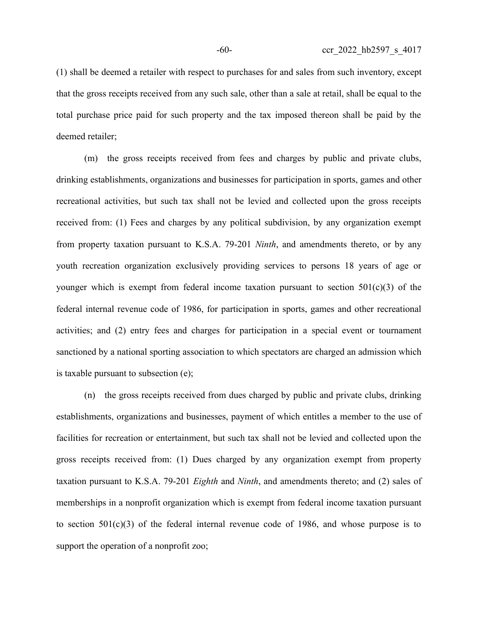(1) shall be deemed a retailer with respect to purchases for and sales from such inventory, except that the gross receipts received from any such sale, other than a sale at retail, shall be equal to the total purchase price paid for such property and the tax imposed thereon shall be paid by the deemed retailer;

(m) the gross receipts received from fees and charges by public and private clubs, drinking establishments, organizations and businesses for participation in sports, games and other recreational activities, but such tax shall not be levied and collected upon the gross receipts received from: (1) Fees and charges by any political subdivision, by any organization exempt from property taxation pursuant to K.S.A. 79-201 *Ninth*, and amendments thereto, or by any youth recreation organization exclusively providing services to persons 18 years of age or younger which is exempt from federal income taxation pursuant to section  $501(c)(3)$  of the federal internal revenue code of 1986, for participation in sports, games and other recreational activities; and (2) entry fees and charges for participation in a special event or tournament sanctioned by a national sporting association to which spectators are charged an admission which is taxable pursuant to subsection (e);

(n) the gross receipts received from dues charged by public and private clubs, drinking establishments, organizations and businesses, payment of which entitles a member to the use of facilities for recreation or entertainment, but such tax shall not be levied and collected upon the gross receipts received from: (1) Dues charged by any organization exempt from property taxation pursuant to K.S.A. 79-201 *Eighth* and *Ninth*, and amendments thereto; and (2) sales of memberships in a nonprofit organization which is exempt from federal income taxation pursuant to section  $501(c)(3)$  of the federal internal revenue code of 1986, and whose purpose is to support the operation of a nonprofit zoo;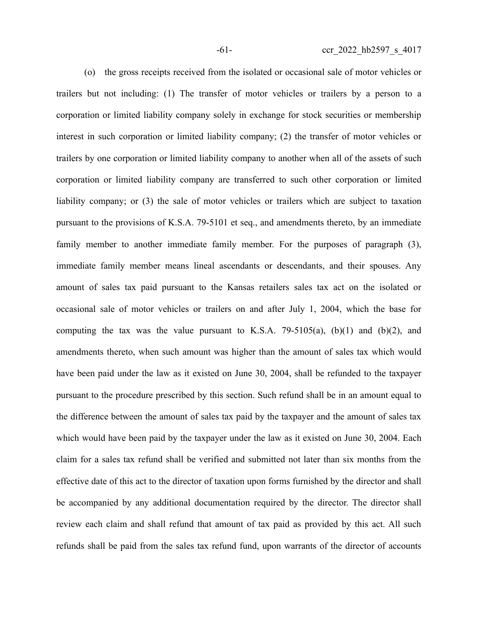(o) the gross receipts received from the isolated or occasional sale of motor vehicles or trailers but not including: (1) The transfer of motor vehicles or trailers by a person to a corporation or limited liability company solely in exchange for stock securities or membership interest in such corporation or limited liability company; (2) the transfer of motor vehicles or trailers by one corporation or limited liability company to another when all of the assets of such corporation or limited liability company are transferred to such other corporation or limited liability company; or (3) the sale of motor vehicles or trailers which are subject to taxation pursuant to the provisions of K.S.A. 79-5101 et seq., and amendments thereto, by an immediate family member to another immediate family member. For the purposes of paragraph (3), immediate family member means lineal ascendants or descendants, and their spouses. Any amount of sales tax paid pursuant to the Kansas retailers sales tax act on the isolated or occasional sale of motor vehicles or trailers on and after July 1, 2004, which the base for computing the tax was the value pursuant to K.S.A. 79-5105(a),  $(b)(1)$  and  $(b)(2)$ , and amendments thereto, when such amount was higher than the amount of sales tax which would have been paid under the law as it existed on June 30, 2004, shall be refunded to the taxpayer pursuant to the procedure prescribed by this section. Such refund shall be in an amount equal to the difference between the amount of sales tax paid by the taxpayer and the amount of sales tax which would have been paid by the taxpayer under the law as it existed on June 30, 2004. Each claim for a sales tax refund shall be verified and submitted not later than six months from the effective date of this act to the director of taxation upon forms furnished by the director and shall be accompanied by any additional documentation required by the director. The director shall review each claim and shall refund that amount of tax paid as provided by this act. All such refunds shall be paid from the sales tax refund fund, upon warrants of the director of accounts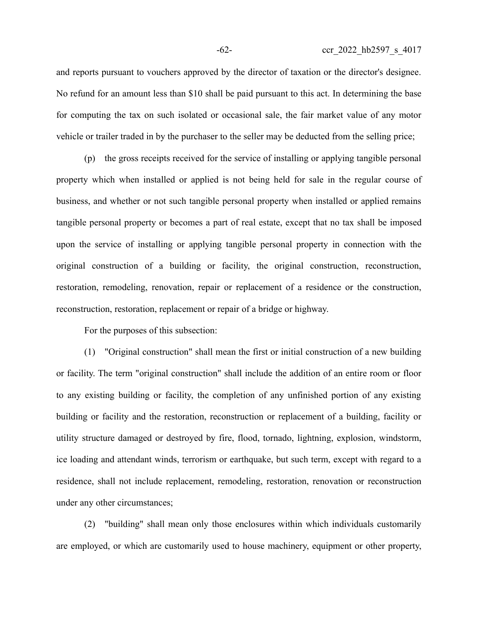and reports pursuant to vouchers approved by the director of taxation or the director's designee. No refund for an amount less than \$10 shall be paid pursuant to this act. In determining the base for computing the tax on such isolated or occasional sale, the fair market value of any motor vehicle or trailer traded in by the purchaser to the seller may be deducted from the selling price;

(p) the gross receipts received for the service of installing or applying tangible personal property which when installed or applied is not being held for sale in the regular course of business, and whether or not such tangible personal property when installed or applied remains tangible personal property or becomes a part of real estate, except that no tax shall be imposed upon the service of installing or applying tangible personal property in connection with the original construction of a building or facility, the original construction, reconstruction, restoration, remodeling, renovation, repair or replacement of a residence or the construction, reconstruction, restoration, replacement or repair of a bridge or highway.

For the purposes of this subsection:

(1) "Original construction" shall mean the first or initial construction of a new building or facility. The term "original construction" shall include the addition of an entire room or floor to any existing building or facility, the completion of any unfinished portion of any existing building or facility and the restoration, reconstruction or replacement of a building, facility or utility structure damaged or destroyed by fire, flood, tornado, lightning, explosion, windstorm, ice loading and attendant winds, terrorism or earthquake, but such term, except with regard to a residence, shall not include replacement, remodeling, restoration, renovation or reconstruction under any other circumstances;

(2) "building" shall mean only those enclosures within which individuals customarily are employed, or which are customarily used to house machinery, equipment or other property,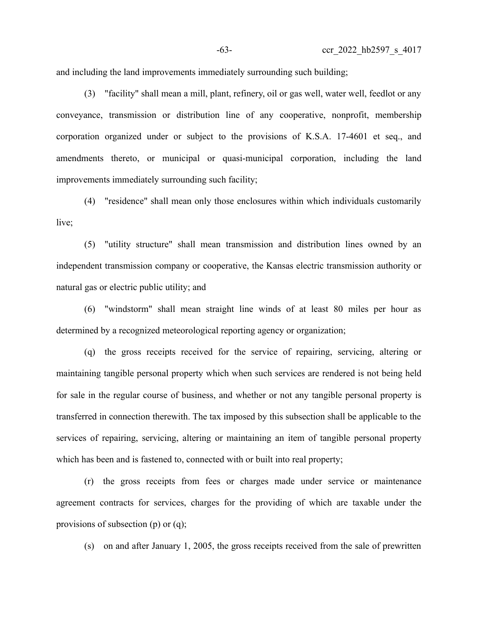and including the land improvements immediately surrounding such building;

(3) "facility" shall mean a mill, plant, refinery, oil or gas well, water well, feedlot or any conveyance, transmission or distribution line of any cooperative, nonprofit, membership corporation organized under or subject to the provisions of K.S.A. 17-4601 et seq., and amendments thereto, or municipal or quasi-municipal corporation, including the land improvements immediately surrounding such facility;

(4) "residence" shall mean only those enclosures within which individuals customarily live;

(5) "utility structure" shall mean transmission and distribution lines owned by an independent transmission company or cooperative, the Kansas electric transmission authority or natural gas or electric public utility; and

(6) "windstorm" shall mean straight line winds of at least 80 miles per hour as determined by a recognized meteorological reporting agency or organization;

(q) the gross receipts received for the service of repairing, servicing, altering or maintaining tangible personal property which when such services are rendered is not being held for sale in the regular course of business, and whether or not any tangible personal property is transferred in connection therewith. The tax imposed by this subsection shall be applicable to the services of repairing, servicing, altering or maintaining an item of tangible personal property which has been and is fastened to, connected with or built into real property;

(r) the gross receipts from fees or charges made under service or maintenance agreement contracts for services, charges for the providing of which are taxable under the provisions of subsection (p) or (q);

(s) on and after January 1, 2005, the gross receipts received from the sale of prewritten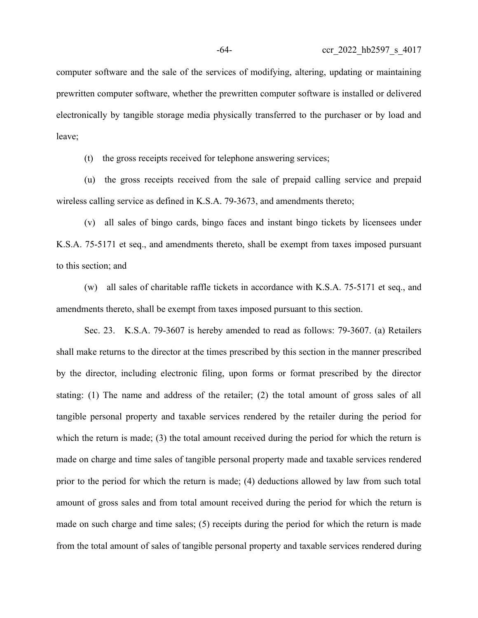computer software and the sale of the services of modifying, altering, updating or maintaining prewritten computer software, whether the prewritten computer software is installed or delivered electronically by tangible storage media physically transferred to the purchaser or by load and leave;

(t) the gross receipts received for telephone answering services;

(u) the gross receipts received from the sale of prepaid calling service and prepaid wireless calling service as defined in K.S.A. 79-3673, and amendments thereto;

(v) all sales of bingo cards, bingo faces and instant bingo tickets by licensees under K.S.A. 75-5171 et seq., and amendments thereto, shall be exempt from taxes imposed pursuant to this section; and

(w) all sales of charitable raffle tickets in accordance with K.S.A. 75-5171 et seq., and amendments thereto, shall be exempt from taxes imposed pursuant to this section.

Sec. 23. K.S.A. 79-3607 is hereby amended to read as follows: 79-3607. (a) Retailers shall make returns to the director at the times prescribed by this section in the manner prescribed by the director, including electronic filing, upon forms or format prescribed by the director stating: (1) The name and address of the retailer; (2) the total amount of gross sales of all tangible personal property and taxable services rendered by the retailer during the period for which the return is made; (3) the total amount received during the period for which the return is made on charge and time sales of tangible personal property made and taxable services rendered prior to the period for which the return is made; (4) deductions allowed by law from such total amount of gross sales and from total amount received during the period for which the return is made on such charge and time sales; (5) receipts during the period for which the return is made from the total amount of sales of tangible personal property and taxable services rendered during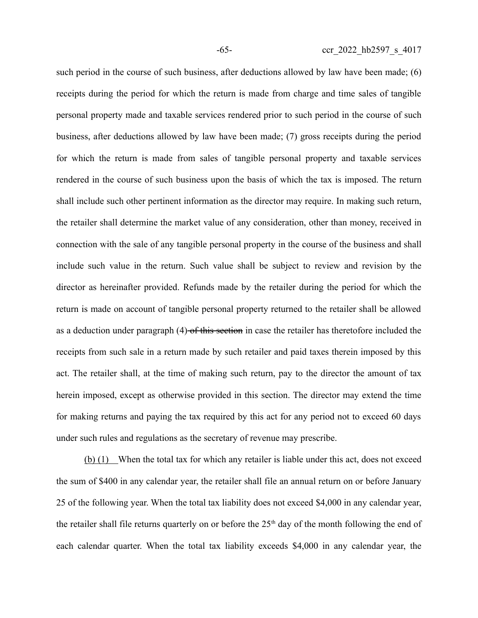such period in the course of such business, after deductions allowed by law have been made; (6) receipts during the period for which the return is made from charge and time sales of tangible personal property made and taxable services rendered prior to such period in the course of such business, after deductions allowed by law have been made; (7) gross receipts during the period for which the return is made from sales of tangible personal property and taxable services rendered in the course of such business upon the basis of which the tax is imposed. The return shall include such other pertinent information as the director may require. In making such return, the retailer shall determine the market value of any consideration, other than money, received in connection with the sale of any tangible personal property in the course of the business and shall include such value in the return. Such value shall be subject to review and revision by the director as hereinafter provided. Refunds made by the retailer during the period for which the return is made on account of tangible personal property returned to the retailer shall be allowed as a deduction under paragraph (4)-of this section in case the retailer has theretofore included the receipts from such sale in a return made by such retailer and paid taxes therein imposed by this act. The retailer shall, at the time of making such return, pay to the director the amount of tax herein imposed, except as otherwise provided in this section. The director may extend the time for making returns and paying the tax required by this act for any period not to exceed 60 days under such rules and regulations as the secretary of revenue may prescribe.

(b) (1) When the total tax for which any retailer is liable under this act, does not exceed the sum of \$400 in any calendar year, the retailer shall file an annual return on or before January 25 of the following year. When the total tax liability does not exceed \$4,000 in any calendar year, the retailer shall file returns quarterly on or before the  $25<sup>th</sup>$  day of the month following the end of each calendar quarter. When the total tax liability exceeds \$4,000 in any calendar year, the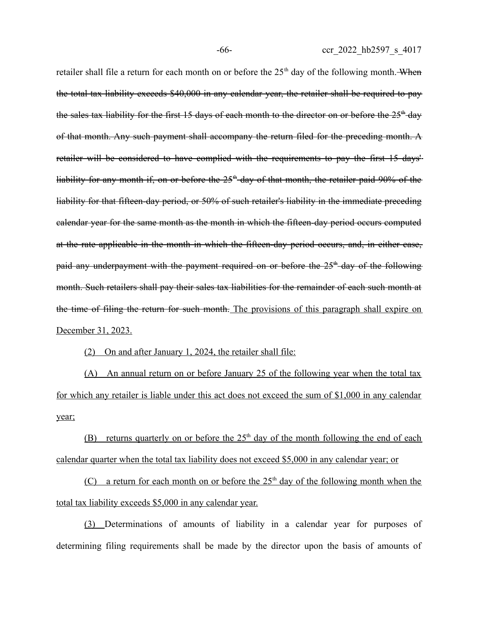retailer shall file a return for each month on or before the 25<sup>th</sup> day of the following month. When the total tax liability exceeds \$40,000 in any calendar year, the retailer shall be required to pay the sales tax liability for the first 15 days of each month to the director on or before the 25<sup>th</sup> day of that month. Any such payment shall accompany the return filed for the preceding month. A retailer will be considered to have complied with the requirements to pay the first 15 days' liability for any month if, on or before the  $25<sup>th</sup>$  day of that month, the retailer paid 90% of the liability for that fifteen-day period, or 50% of such retailer's liability in the immediate preceding calendar year for the same month as the month in which the fifteen-day period occurs computed at the rate applicable in the month in which the fifteen-day period occurs, and, in either case, paid any underpayment with the payment required on or before the  $25<sup>th</sup>$  day of the following month. Such retailers shall pay their sales tax liabilities for the remainder of each such month at the time of filing the return for such month. The provisions of this paragraph shall expire on December 31, 2023.

(2) On and after January 1, 2024, the retailer shall file:

(A) An annual return on or before January 25 of the following year when the total tax for which any retailer is liable under this act does not exceed the sum of \$1,000 in any calendar year;

(B) returns quarterly on or before the  $25<sup>th</sup>$  day of the month following the end of each calendar quarter when the total tax liability does not exceed \$5,000 in any calendar year; or

(C) a return for each month on or before the  $25<sup>th</sup>$  day of the following month when the total tax liability exceeds \$5,000 in any calendar year.

(3) Determinations of amounts of liability in a calendar year for purposes of determining filing requirements shall be made by the director upon the basis of amounts of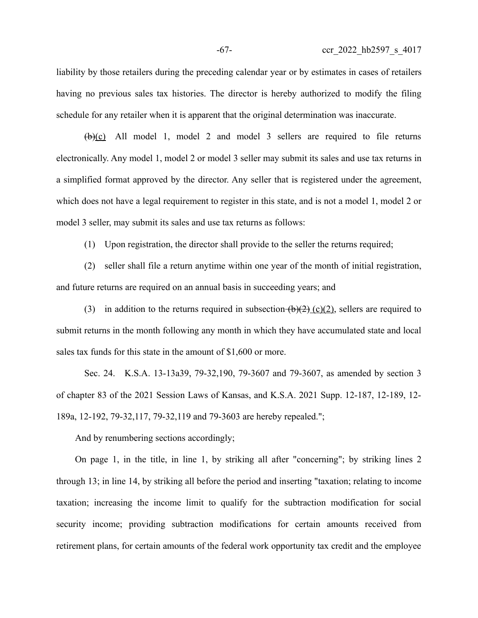liability by those retailers during the preceding calendar year or by estimates in cases of retailers having no previous sales tax histories. The director is hereby authorized to modify the filing schedule for any retailer when it is apparent that the original determination was inaccurate.

 $(\frac{b}{c})$  All model 1, model 2 and model 3 sellers are required to file returns electronically. Any model 1, model 2 or model 3 seller may submit its sales and use tax returns in a simplified format approved by the director. Any seller that is registered under the agreement, which does not have a legal requirement to register in this state, and is not a model 1, model 2 or model 3 seller, may submit its sales and use tax returns as follows:

(1) Upon registration, the director shall provide to the seller the returns required;

(2) seller shall file a return anytime within one year of the month of initial registration, and future returns are required on an annual basis in succeeding years; and

(3) in addition to the returns required in subsection  $(b)(2)$  (c)(2), sellers are required to submit returns in the month following any month in which they have accumulated state and local sales tax funds for this state in the amount of \$1,600 or more.

Sec. 24. K.S.A. 13-13a39, 79-32,190, 79-3607 and 79-3607, as amended by section 3 of chapter 83 of the 2021 Session Laws of Kansas, and K.S.A. 2021 Supp. 12-187, 12-189, 12- 189a, 12-192, 79-32,117, 79-32,119 and 79-3603 are hereby repealed.";

And by renumbering sections accordingly;

On page 1, in the title, in line 1, by striking all after "concerning"; by striking lines 2 through 13; in line 14, by striking all before the period and inserting "taxation; relating to income taxation; increasing the income limit to qualify for the subtraction modification for social security income; providing subtraction modifications for certain amounts received from retirement plans, for certain amounts of the federal work opportunity tax credit and the employee